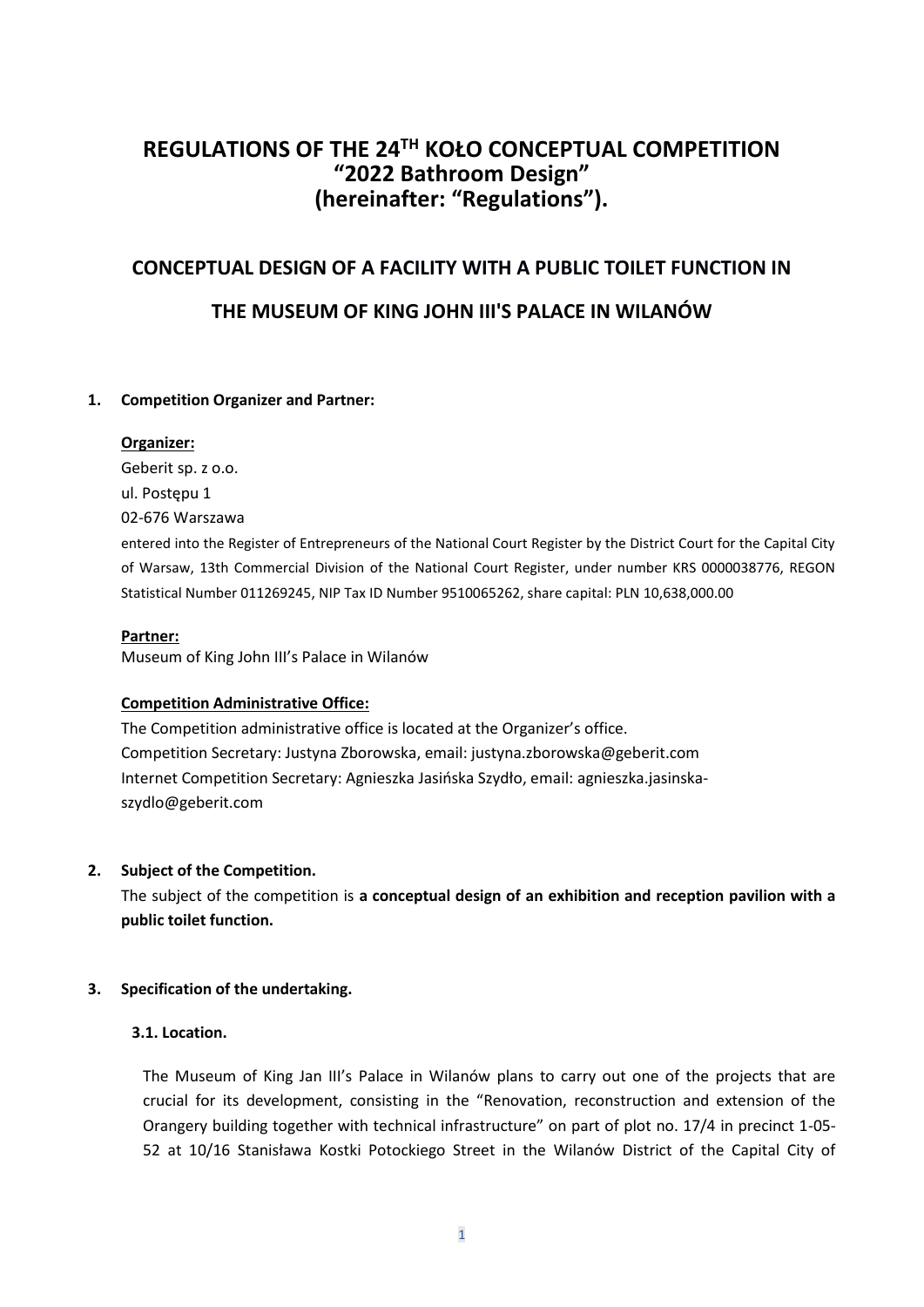# **REGULATIONS OF THE 24TH KOŁO CONCEPTUAL COMPETITION "2022 Bathroom Design" (hereinafter: "Regulations").**

# **CONCEPTUAL DESIGN OF A FACILITY WITH A PUBLIC TOILET FUNCTION IN**

# **THE MUSEUM OF KING JOHN III'S PALACE IN WILANÓW**

# **1. Competition Organizer and Partner:**

# **Organizer:**

Geberit sp. z o.o. ul. Postępu 1 02-676 Warszawa

entered into the Register of Entrepreneurs of the National Court Register by the District Court for the Capital City of Warsaw, 13th Commercial Division of the National Court Register, under number KRS 0000038776, REGON Statistical Number 011269245, NIP Tax ID Number 9510065262, share capital: PLN 10,638,000.00

# **Partner:**

Museum of King John III's Palace in Wilanów

# **Competition Administrative Office:**

The Competition administrative office is located at the Organizer's office. Competition Secretary: Justyna Zborowska, email: justyna.zborowska@geberit.com Internet Competition Secretary: Agnieszka Jasińska Szydło, email: [agnieszka.jasinska](mailto:agnieszka.jasinska-szydlo@geberit.com)[szydlo@geberit.com](mailto:agnieszka.jasinska-szydlo@geberit.com)

# **2. Subject of the Competition.**

The subject of the competition is **a conceptual design of an exhibition and reception pavilion with a public toilet function.**

# **3. Specification of the undertaking.**

# **3.1. Location.**

The Museum of King Jan III's Palace in Wilanów plans to carry out one of the projects that are crucial for its development, consisting in the "Renovation, reconstruction and extension of the Orangery building together with technical infrastructure" on part of plot no. 17/4 in precinct 1-05- 52 at 10/16 Stanisława Kostki Potockiego Street in the Wilanów District of the Capital City of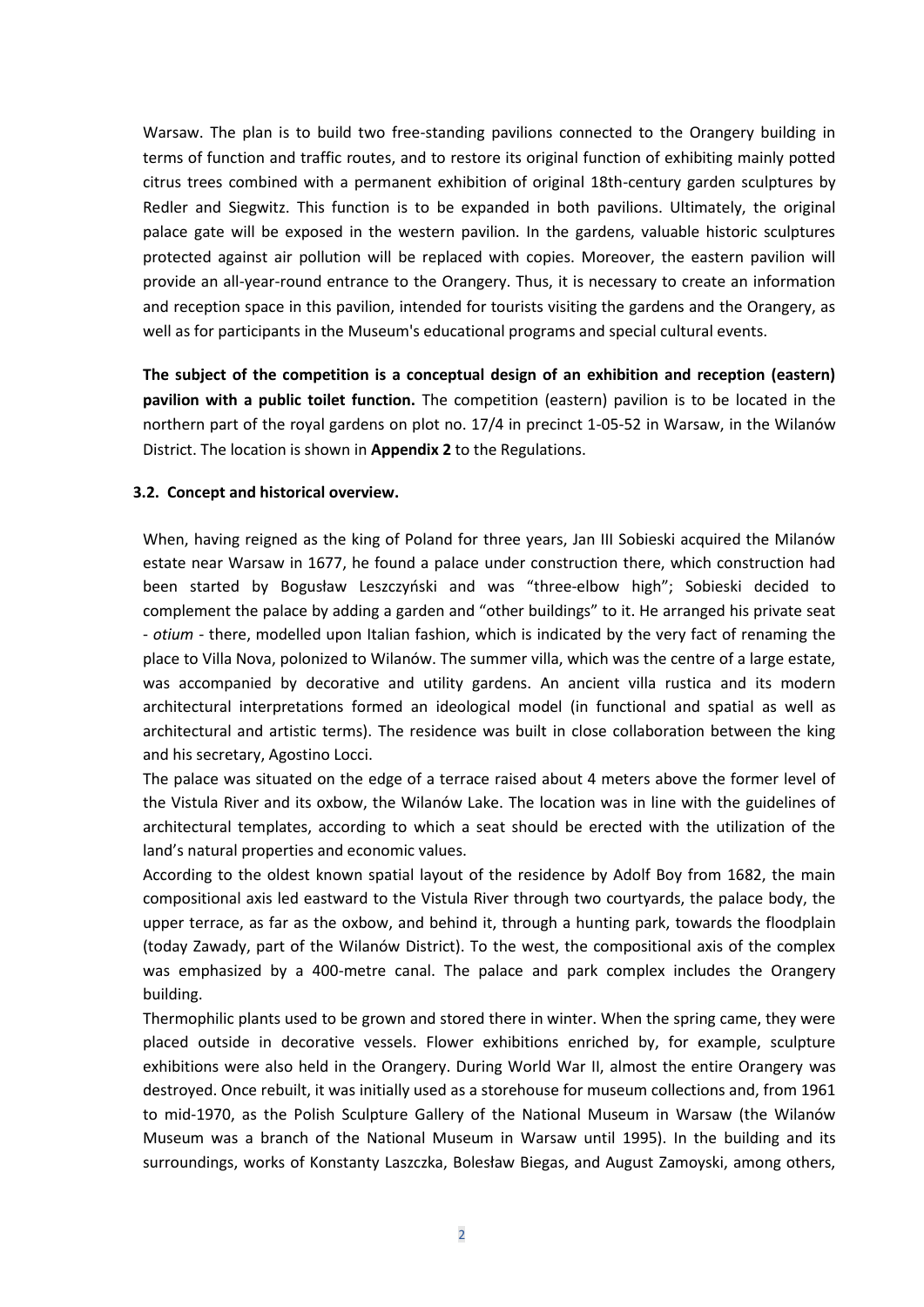Warsaw. The plan is to build two free-standing pavilions connected to the Orangery building in terms of function and traffic routes, and to restore its original function of exhibiting mainly potted citrus trees combined with a permanent exhibition of original 18th-century garden sculptures by Redler and Siegwitz. This function is to be expanded in both pavilions. Ultimately, the original palace gate will be exposed in the western pavilion. In the gardens, valuable historic sculptures protected against air pollution will be replaced with copies. Moreover, the eastern pavilion will provide an all-year-round entrance to the Orangery. Thus, it is necessary to create an information and reception space in this pavilion, intended for tourists visiting the gardens and the Orangery, as well as for participants in the Museum's educational programs and special cultural events.

**The subject of the competition is a conceptual design of an exhibition and reception (eastern) pavilion with a public toilet function.** The competition (eastern) pavilion is to be located in the northern part of the royal gardens on plot no. 17/4 in precinct 1-05-52 in Warsaw, in the Wilanów District. The location is shown in **Appendix 2** to the Regulations.

#### **3.2. Concept and historical overview.**

When, having reigned as the king of Poland for three years, Jan III Sobieski acquired the Milanów estate near Warsaw in 1677, he found a palace under construction there, which construction had been started by Bogusław Leszczyński and was "three-elbow high"; Sobieski decided to complement the palace by adding a garden and "other buildings" to it. He arranged his private seat - *otium -* there, modelled upon Italian fashion, which is indicated by the very fact of renaming the place to Villa Nova, polonized to Wilanów. The summer villa, which was the centre of a large estate, was accompanied by decorative and utility gardens. An ancient villa rustica and its modern architectural interpretations formed an ideological model (in functional and spatial as well as architectural and artistic terms). The residence was built in close collaboration between the king and his secretary, Agostino Locci.

The palace was situated on the edge of a terrace raised about 4 meters above the former level of the Vistula River and its oxbow, the Wilanów Lake. The location was in line with the guidelines of architectural templates, according to which a seat should be erected with the utilization of the land's natural properties and economic values.

According to the oldest known spatial layout of the residence by Adolf Boy from 1682, the main compositional axis led eastward to the Vistula River through two courtyards, the palace body, the upper terrace, as far as the oxbow, and behind it, through a hunting park, towards the floodplain (today Zawady, part of the Wilanów District). To the west, the compositional axis of the complex was emphasized by a 400-metre canal. The palace and park complex includes the Orangery building.

Thermophilic plants used to be grown and stored there in winter. When the spring came, they were placed outside in decorative vessels. Flower exhibitions enriched by, for example, sculpture exhibitions were also held in the Orangery. During World War II, almost the entire Orangery was destroyed. Once rebuilt, it was initially used as a storehouse for museum collections and, from 1961 to mid-1970, as the Polish Sculpture Gallery of the National Museum in Warsaw (the Wilanów Museum was a branch of the National Museum in Warsaw until 1995). In the building and its surroundings, works of Konstanty Laszczka, Bolesław Biegas, and August Zamoyski, among others,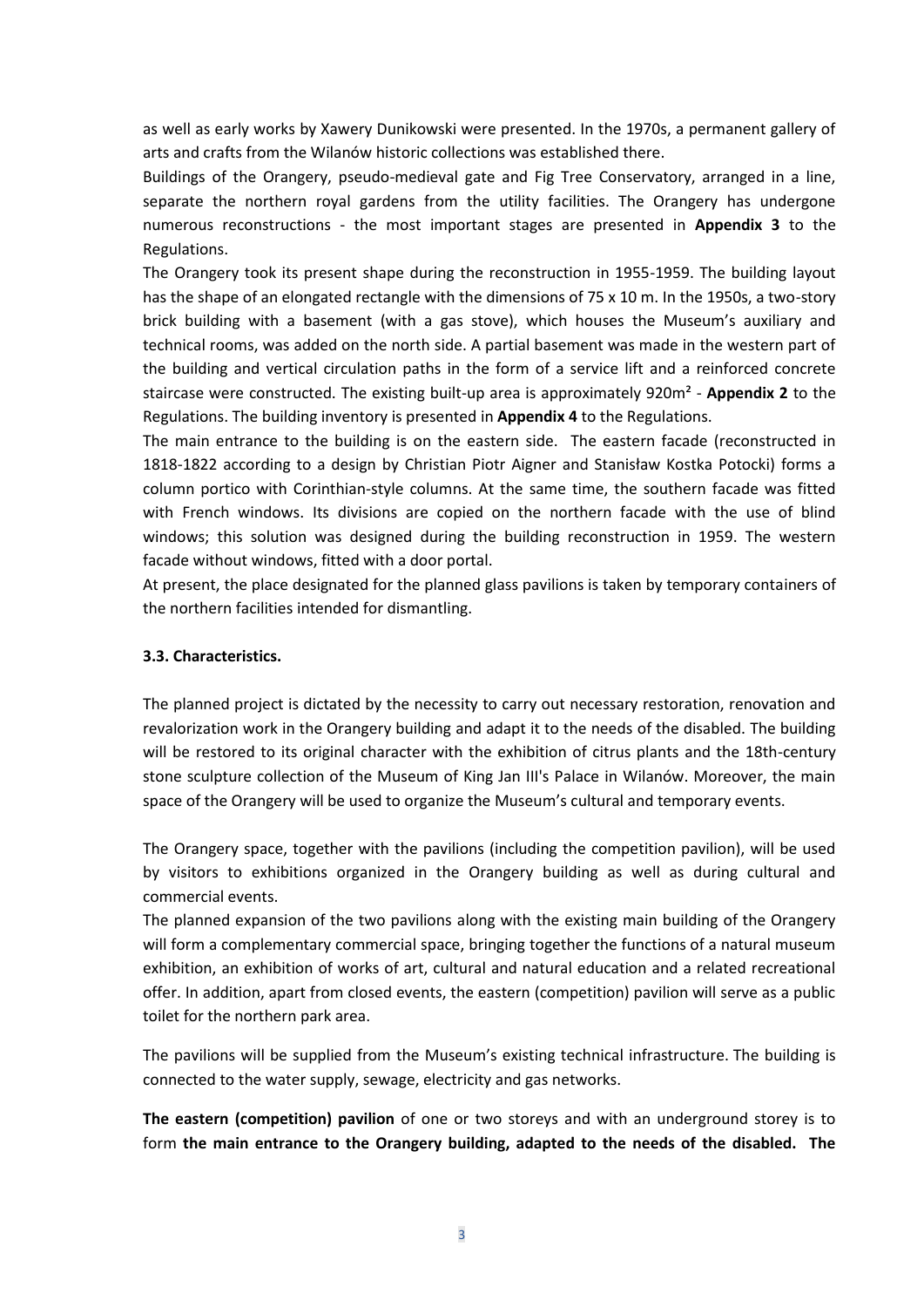as well as early works by Xawery Dunikowski were presented. In the 1970s, a permanent gallery of arts and crafts from the Wilanów historic collections was established there.

Buildings of the Orangery, pseudo-medieval gate and Fig Tree Conservatory, arranged in a line, separate the northern royal gardens from the utility facilities. The Orangery has undergone numerous reconstructions - the most important stages are presented in **Appendix 3** to the Regulations.

The Orangery took its present shape during the reconstruction in 1955-1959. The building layout has the shape of an elongated rectangle with the dimensions of 75 x 10 m. In the 1950s, a two-story brick building with a basement (with a gas stove), which houses the Museum's auxiliary and technical rooms, was added on the north side. A partial basement was made in the western part of the building and vertical circulation paths in the form of a service lift and a reinforced concrete staircase were constructed. The existing built-up area is approximately 920m² - **Appendix 2** to the Regulations. The building inventory is presented in **Appendix 4** to the Regulations.

The main entrance to the building is on the eastern side. The eastern facade (reconstructed in 1818-1822 according to a design by Christian Piotr Aigner and Stanisław Kostka Potocki) forms a column portico with Corinthian-style columns. At the same time, the southern facade was fitted with French windows. Its divisions are copied on the northern facade with the use of blind windows; this solution was designed during the building reconstruction in 1959. The western facade without windows, fitted with a door portal.

At present, the place designated for the planned glass pavilions is taken by temporary containers of the northern facilities intended for dismantling.

## **3.3. Characteristics.**

The planned project is dictated by the necessity to carry out necessary restoration, renovation and revalorization work in the Orangery building and adapt it to the needs of the disabled. The building will be restored to its original character with the exhibition of citrus plants and the 18th-century stone sculpture collection of the Museum of King Jan III's Palace in Wilanów. Moreover, the main space of the Orangery will be used to organize the Museum's cultural and temporary events.

The Orangery space, together with the pavilions (including the competition pavilion), will be used by visitors to exhibitions organized in the Orangery building as well as during cultural and commercial events.

The planned expansion of the two pavilions along with the existing main building of the Orangery will form a complementary commercial space, bringing together the functions of a natural museum exhibition, an exhibition of works of art, cultural and natural education and a related recreational offer. In addition, apart from closed events, the eastern (competition) pavilion will serve as a public toilet for the northern park area.

The pavilions will be supplied from the Museum's existing technical infrastructure. The building is connected to the water supply, sewage, electricity and gas networks.

**The eastern (competition) pavilion** of one or two storeys and with an underground storey is to form **the main entrance to the Orangery building, adapted to the needs of the disabled. The**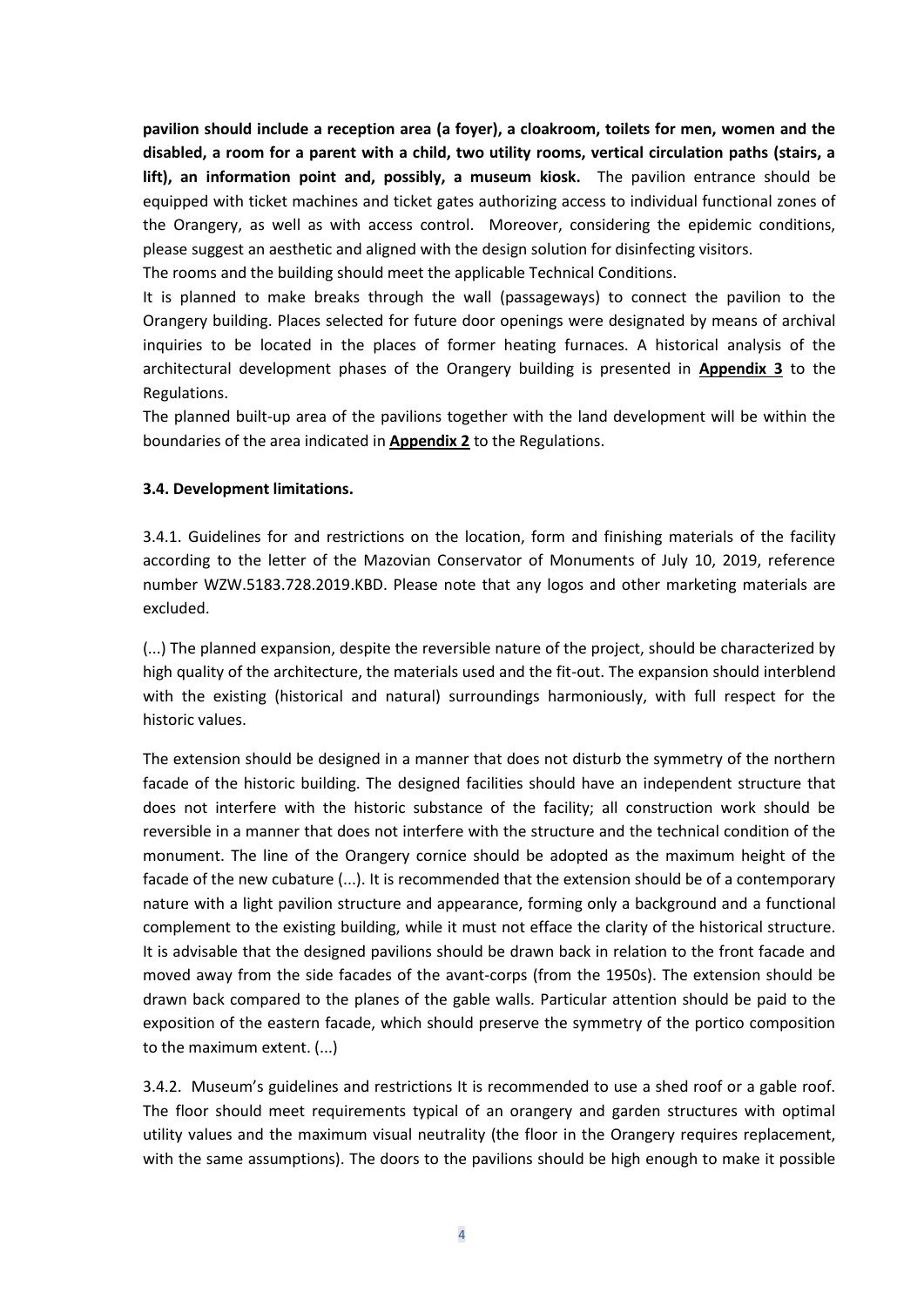**pavilion should include a reception area (a foyer), a cloakroom, toilets for men, women and the disabled, a room for a parent with a child, two utility rooms, vertical circulation paths (stairs, a lift), an information point and, possibly, a museum kiosk.** The pavilion entrance should be equipped with ticket machines and ticket gates authorizing access to individual functional zones of the Orangery, as well as with access control. Moreover, considering the epidemic conditions, please suggest an aesthetic and aligned with the design solution for disinfecting visitors.

The rooms and the building should meet the applicable Technical Conditions.

It is planned to make breaks through the wall (passageways) to connect the pavilion to the Orangery building. Places selected for future door openings were designated by means of archival inquiries to be located in the places of former heating furnaces. A historical analysis of the architectural development phases of the Orangery building is presented in **Appendix 3** to the Regulations.

The planned built-up area of the pavilions together with the land development will be within the boundaries of the area indicated in **Appendix 2** to the Regulations.

## **3.4. Development limitations.**

3.4.1. Guidelines for and restrictions on the location, form and finishing materials of the facility according to the letter of the Mazovian Conservator of Monuments of July 10, 2019, reference number WZW.5183.728.2019.KBD. Please note that any logos and other marketing materials are excluded.

(...) The planned expansion, despite the reversible nature of the project, should be characterized by high quality of the architecture, the materials used and the fit-out. The expansion should interblend with the existing (historical and natural) surroundings harmoniously, with full respect for the historic values.

The extension should be designed in a manner that does not disturb the symmetry of the northern facade of the historic building. The designed facilities should have an independent structure that does not interfere with the historic substance of the facility; all construction work should be reversible in a manner that does not interfere with the structure and the technical condition of the monument. The line of the Orangery cornice should be adopted as the maximum height of the facade of the new cubature (...). It is recommended that the extension should be of a contemporary nature with a light pavilion structure and appearance, forming only a background and a functional complement to the existing building, while it must not efface the clarity of the historical structure. It is advisable that the designed pavilions should be drawn back in relation to the front facade and moved away from the side facades of the avant-corps (from the 1950s). The extension should be drawn back compared to the planes of the gable walls. Particular attention should be paid to the exposition of the eastern facade, which should preserve the symmetry of the portico composition to the maximum extent. (...)

3.4.2. Museum's guidelines and restrictions It is recommended to use a shed roof or a gable roof. The floor should meet requirements typical of an orangery and garden structures with optimal utility values and the maximum visual neutrality (the floor in the Orangery requires replacement, with the same assumptions). The doors to the pavilions should be high enough to make it possible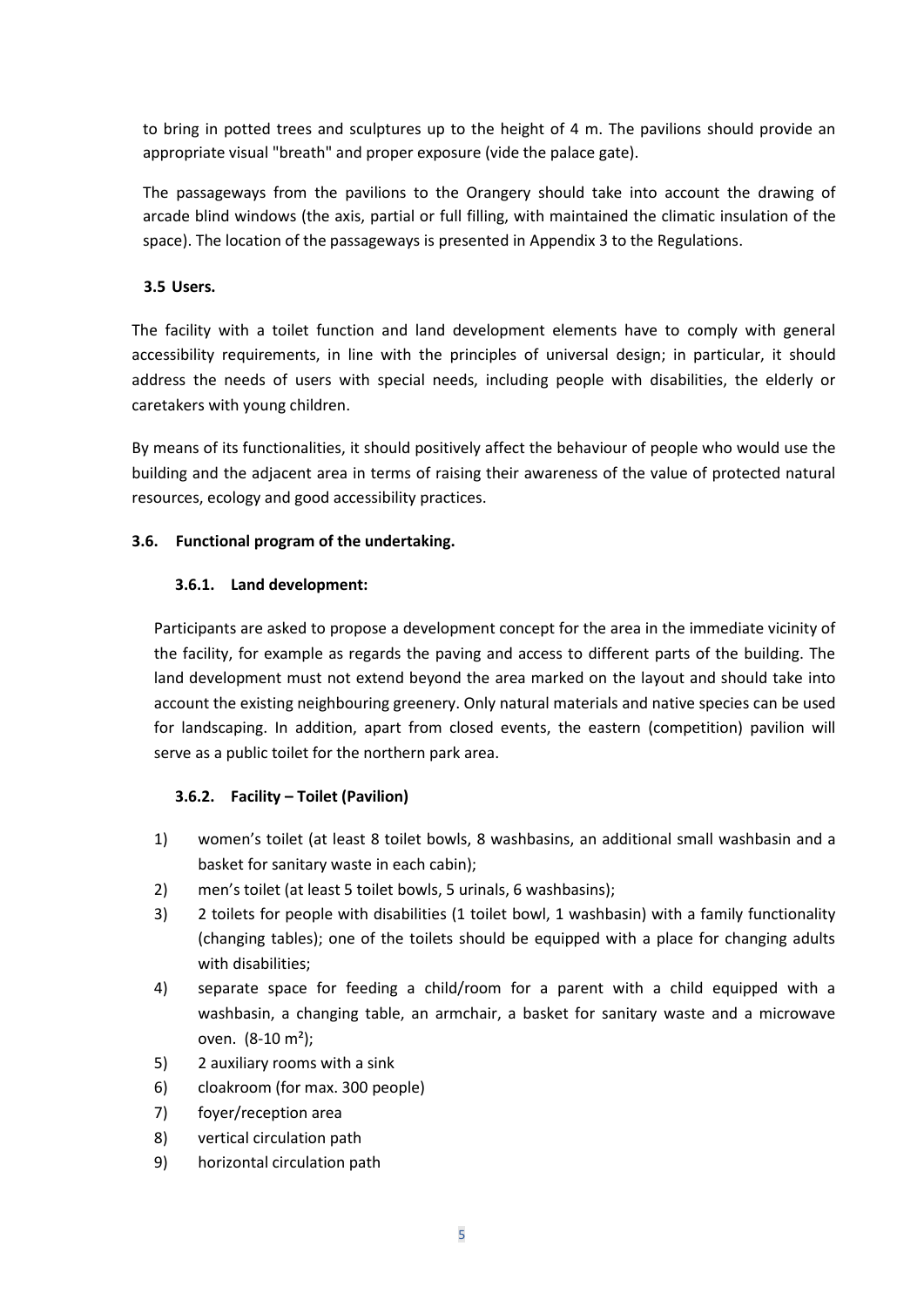to bring in potted trees and sculptures up to the height of 4 m. The pavilions should provide an appropriate visual "breath" and proper exposure (vide the palace gate).

The passageways from the pavilions to the Orangery should take into account the drawing of arcade blind windows (the axis, partial or full filling, with maintained the climatic insulation of the space). The location of the passageways is presented in Appendix 3 to the Regulations.

# **3.5 Users.**

The facility with a toilet function and land development elements have to comply with general accessibility requirements, in line with the principles of universal design; in particular, it should address the needs of users with special needs, including people with disabilities, the elderly or caretakers with young children.

By means of its functionalities, it should positively affect the behaviour of people who would use the building and the adjacent area in terms of raising their awareness of the value of protected natural resources, ecology and good accessibility practices.

# **3.6. Functional program of the undertaking.**

# **3.6.1. Land development:**

Participants are asked to propose a development concept for the area in the immediate vicinity of the facility, for example as regards the paving and access to different parts of the building. The land development must not extend beyond the area marked on the layout and should take into account the existing neighbouring greenery. Only natural materials and native species can be used for landscaping. In addition, apart from closed events, the eastern (competition) pavilion will serve as a public toilet for the northern park area.

# **3.6.2. Facility – Toilet (Pavilion)**

- 1) women's toilet (at least 8 toilet bowls, 8 washbasins, an additional small washbasin and a basket for sanitary waste in each cabin);
- 2) men's toilet (at least 5 toilet bowls, 5 urinals, 6 washbasins);
- 3) 2 toilets for people with disabilities (1 toilet bowl, 1 washbasin) with a family functionality (changing tables); one of the toilets should be equipped with a place for changing adults with disabilities;
- 4) separate space for feeding a child/room for a parent with a child equipped with a washbasin, a changing table, an armchair, a basket for sanitary waste and a microwave oven.  $(8-10 \text{ m}^2)$ ;
- 5) 2 auxiliary rooms with a sink
- 6) cloakroom (for max. 300 people)
- 7) foyer/reception area
- 8) vertical circulation path
- 9) horizontal circulation path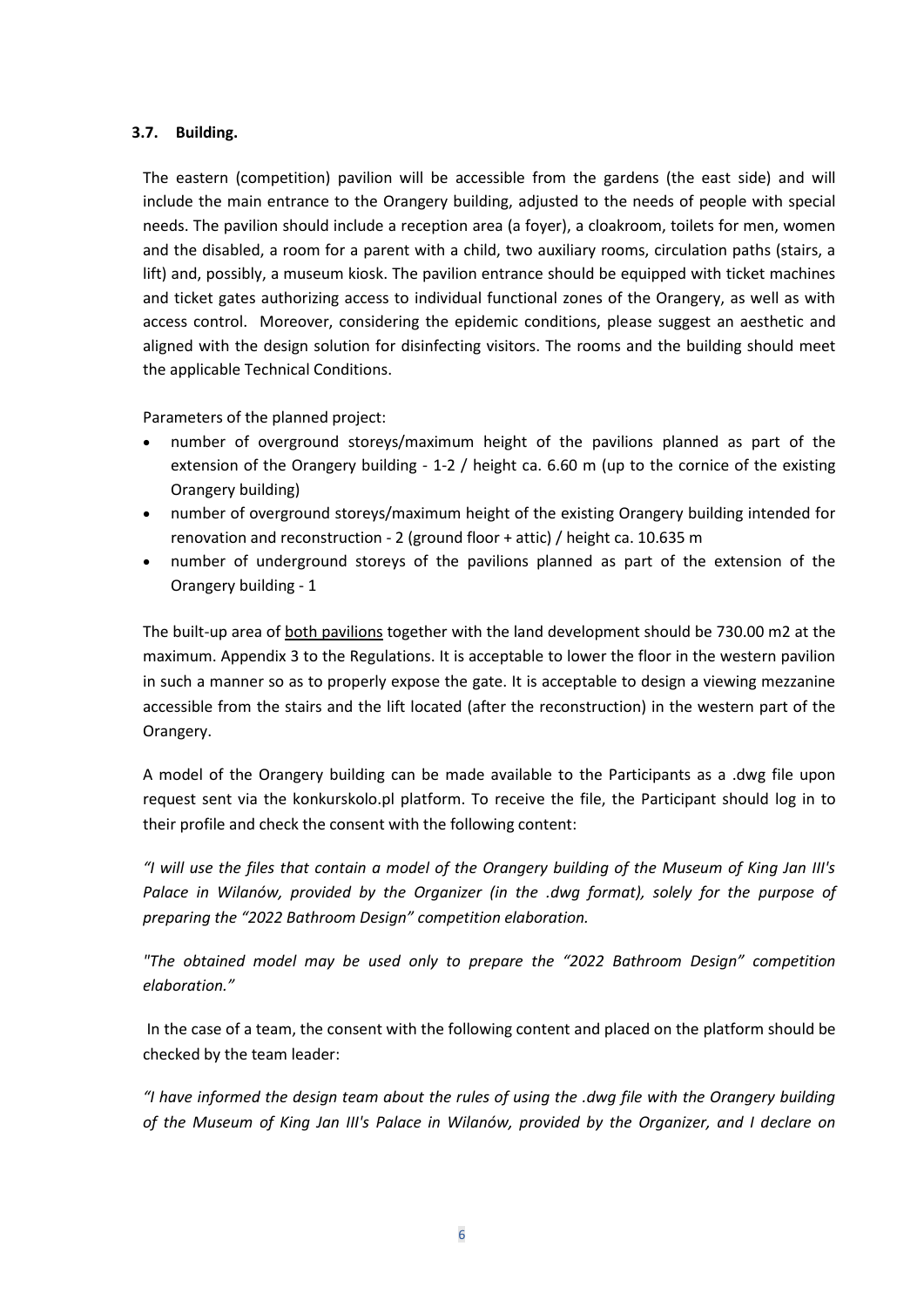## **3.7. Building.**

The eastern (competition) pavilion will be accessible from the gardens (the east side) and will include the main entrance to the Orangery building, adjusted to the needs of people with special needs. The pavilion should include a reception area (a foyer), a cloakroom, toilets for men, women and the disabled, a room for a parent with a child, two auxiliary rooms, circulation paths (stairs, a lift) and, possibly, a museum kiosk. The pavilion entrance should be equipped with ticket machines and ticket gates authorizing access to individual functional zones of the Orangery, as well as with access control. Moreover, considering the epidemic conditions, please suggest an aesthetic and aligned with the design solution for disinfecting visitors. The rooms and the building should meet the applicable Technical Conditions.

Parameters of the planned project:

- number of overground storeys/maximum height of the pavilions planned as part of the extension of the Orangery building - 1-2 / height ca. 6.60 m (up to the cornice of the existing Orangery building)
- number of overground storeys/maximum height of the existing Orangery building intended for renovation and reconstruction - 2 (ground floor + attic) / height ca. 10.635 m
- number of underground storeys of the pavilions planned as part of the extension of the Orangery building - 1

The built-up area of both pavilions together with the land development should be 730.00 m2 at the maximum. Appendix 3 to the Regulations. It is acceptable to lower the floor in the western pavilion in such a manner so as to properly expose the gate. It is acceptable to design a viewing mezzanine accessible from the stairs and the lift located (after the reconstruction) in the western part of the Orangery.

A model of the Orangery building can be made available to the Participants as a .dwg file upon request sent via the konkurskolo.pl platform. To receive the file, the Participant should log in to their profile and check the consent with the following content:

*"I will use the files that contain a model of the Orangery building of the Museum of King Jan III's Palace in Wilanów, provided by the Organizer (in the .dwg format), solely for the purpose of preparing the "2022 Bathroom Design" competition elaboration.*

*"The obtained model may be used only to prepare the "2022 Bathroom Design" competition elaboration."*

In the case of a team, the consent with the following content and placed on the platform should be checked by the team leader:

*"I have informed the design team about the rules of using the .dwg file with the Orangery building of the Museum of King Jan III's Palace in Wilanów, provided by the Organizer, and I declare on*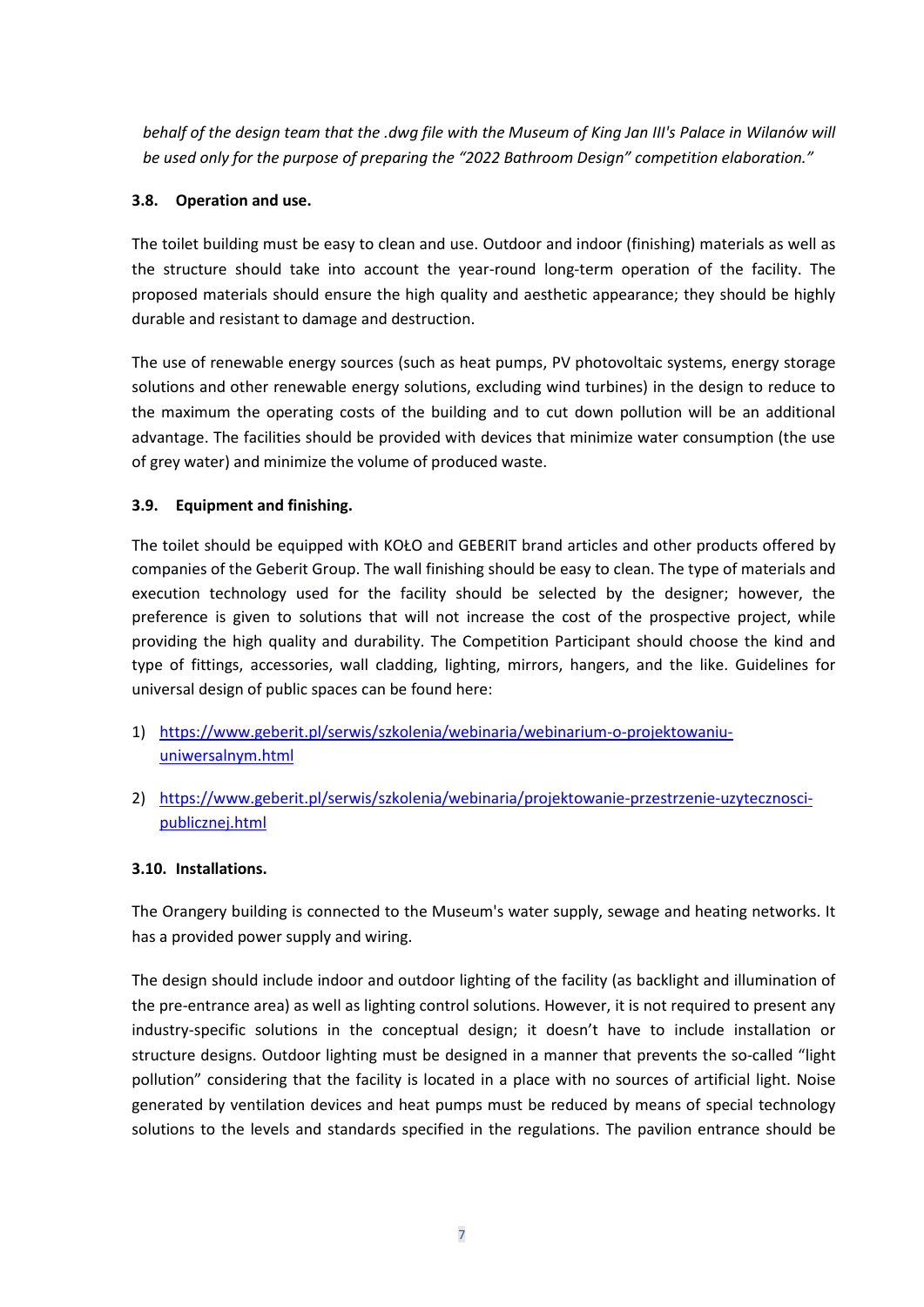*behalf of the design team that the .dwg file with the Museum of King Jan III's Palace in Wilanów will be used only for the purpose of preparing the "2022 Bathroom Design" competition elaboration."*

# **3.8. Operation and use.**

The toilet building must be easy to clean and use. Outdoor and indoor (finishing) materials as well as the structure should take into account the year-round long-term operation of the facility. The proposed materials should ensure the high quality and aesthetic appearance; they should be highly durable and resistant to damage and destruction.

The use of renewable energy sources (such as heat pumps, PV photovoltaic systems, energy storage solutions and other renewable energy solutions, excluding wind turbines) in the design to reduce to the maximum the operating costs of the building and to cut down pollution will be an additional advantage. The facilities should be provided with devices that minimize water consumption (the use of grey water) and minimize the volume of produced waste.

# **3.9. Equipment and finishing.**

The toilet should be equipped with KOŁO and GEBERIT brand articles and other products offered by companies of the Geberit Group. The wall finishing should be easy to clean. The type of materials and execution technology used for the facility should be selected by the designer; however, the preference is given to solutions that will not increase the cost of the prospective project, while providing the high quality and durability. The Competition Participant should choose the kind and type of fittings, accessories, wall cladding, lighting, mirrors, hangers, and the like. Guidelines for universal design of public spaces can be found here:

- 1) [https://www.geberit.pl/serwis/szkolenia/webinaria/webinarium-o-projektowaniu](https://www.geberit.pl/serwis/szkolenia/webinaria/webinarium-o-projektowaniu-uniwersalnym.html)[uniwersalnym.html](https://www.geberit.pl/serwis/szkolenia/webinaria/webinarium-o-projektowaniu-uniwersalnym.html)
- 2) [https://www.geberit.pl/serwis/szkolenia/webinaria/projektowanie-przestrzenie-uzytecznosci](https://www.geberit.pl/serwis/szkolenia/webinaria/projektowanie-przestrzenie-uzytecznosci-publicznej.html)[publicznej.html](https://www.geberit.pl/serwis/szkolenia/webinaria/projektowanie-przestrzenie-uzytecznosci-publicznej.html)

# **3.10. Installations.**

The Orangery building is connected to the Museum's water supply, sewage and heating networks. It has a provided power supply and wiring.

The design should include indoor and outdoor lighting of the facility (as backlight and illumination of the pre-entrance area) as well as lighting control solutions. However, it is not required to present any industry-specific solutions in the conceptual design; it doesn't have to include installation or structure designs. Outdoor lighting must be designed in a manner that prevents the so-called "light pollution" considering that the facility is located in a place with no sources of artificial light. Noise generated by ventilation devices and heat pumps must be reduced by means of special technology solutions to the levels and standards specified in the regulations. The pavilion entrance should be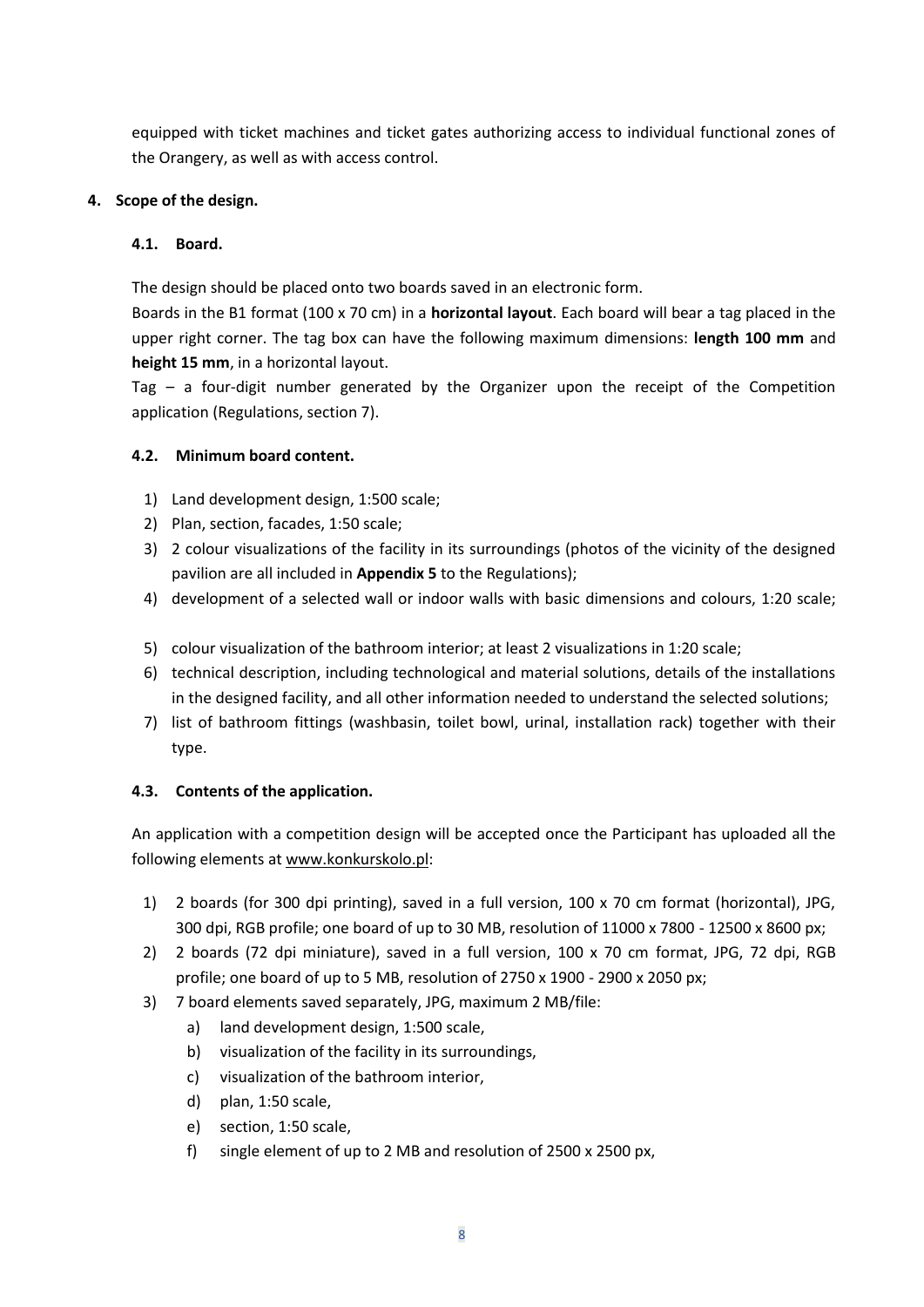equipped with ticket machines and ticket gates authorizing access to individual functional zones of the Orangery, as well as with access control.

# **4. Scope of the design.**

## **4.1. Board.**

The design should be placed onto two boards saved in an electronic form.

Boards in the B1 format (100 x 70 cm) in a **horizontal layout**. Each board will bear a tag placed in the upper right corner. The tag box can have the following maximum dimensions: **length 100 mm** and **height 15 mm**, in a horizontal layout.

Tag – a four-digit number generated by the Organizer upon the receipt of the Competition application (Regulations, section 7).

## **4.2. Minimum board content.**

- 1) Land development design, 1:500 scale;
- 2) Plan, section, facades, 1:50 scale;
- 3) 2 colour visualizations of the facility in its surroundings (photos of the vicinity of the designed pavilion are all included in **Appendix 5** to the Regulations);
- 4) development of a selected wall or indoor walls with basic dimensions and colours, 1:20 scale;
- 5) colour visualization of the bathroom interior; at least 2 visualizations in 1:20 scale;
- 6) technical description, including technological and material solutions, details of the installations in the designed facility, and all other information needed to understand the selected solutions;
- 7) list of bathroom fittings (washbasin, toilet bowl, urinal, installation rack) together with their type.

# **4.3. Contents of the application.**

An application with a competition design will be accepted once the Participant has uploaded all the following elements at [www.konkurskolo.pl:](http://www.konkurskolo.pl/)

- 1) 2 boards (for 300 dpi printing), saved in a full version, 100 x 70 cm format (horizontal), JPG, 300 dpi, RGB profile; one board of up to 30 MB, resolution of 11000 x 7800 - 12500 x 8600 px;
- 2) 2 boards (72 dpi miniature), saved in a full version, 100 x 70 cm format, JPG, 72 dpi, RGB profile; one board of up to 5 MB, resolution of 2750 x 1900 - 2900 x 2050 px;
- 3) 7 board elements saved separately, JPG, maximum 2 MB/file:
	- a) land development design, 1:500 scale,
	- b) visualization of the facility in its surroundings,
	- c) visualization of the bathroom interior,
	- d) plan, 1:50 scale,
	- e) section, 1:50 scale,
	- f) single element of up to 2 MB and resolution of 2500 x 2500 px,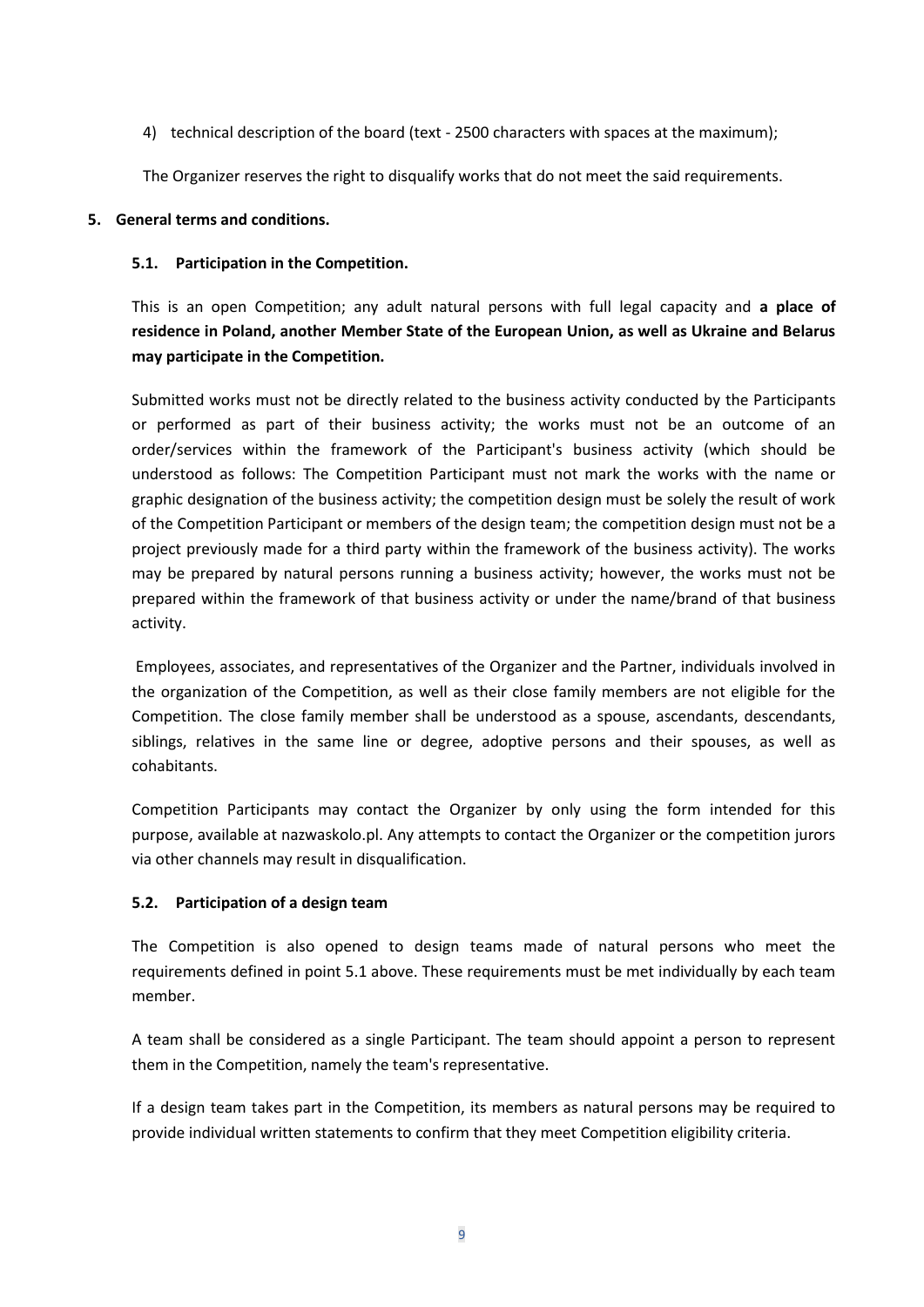4) technical description of the board (text - 2500 characters with spaces at the maximum);

The Organizer reserves the right to disqualify works that do not meet the said requirements.

#### **5. General terms and conditions.**

#### **5.1. Participation in the Competition.**

This is an open Competition; any adult natural persons with full legal capacity and **a place of residence in Poland, another Member State of the European Union, as well as Ukraine and Belarus may participate in the Competition.** 

Submitted works must not be directly related to the business activity conducted by the Participants or performed as part of their business activity; the works must not be an outcome of an order/services within the framework of the Participant's business activity (which should be understood as follows: The Competition Participant must not mark the works with the name or graphic designation of the business activity; the competition design must be solely the result of work of the Competition Participant or members of the design team; the competition design must not be a project previously made for a third party within the framework of the business activity). The works may be prepared by natural persons running a business activity; however, the works must not be prepared within the framework of that business activity or under the name/brand of that business activity.

Employees, associates, and representatives of the Organizer and the Partner, individuals involved in the organization of the Competition, as well as their close family members are not eligible for the Competition. The close family member shall be understood as a spouse, ascendants, descendants, siblings, relatives in the same line or degree, adoptive persons and their spouses, as well as cohabitants.

Competition Participants may contact the Organizer by only using the form intended for this purpose, available at nazwaskolo.pl. Any attempts to contact the Organizer or the competition jurors via other channels may result in disqualification.

#### **5.2. Participation of a design team**

The Competition is also opened to design teams made of natural persons who meet the requirements defined in point 5.1 above. These requirements must be met individually by each team member.

A team shall be considered as a single Participant. The team should appoint a person to represent them in the Competition, namely the team's representative.

If a design team takes part in the Competition, its members as natural persons may be required to provide individual written statements to confirm that they meet Competition eligibility criteria.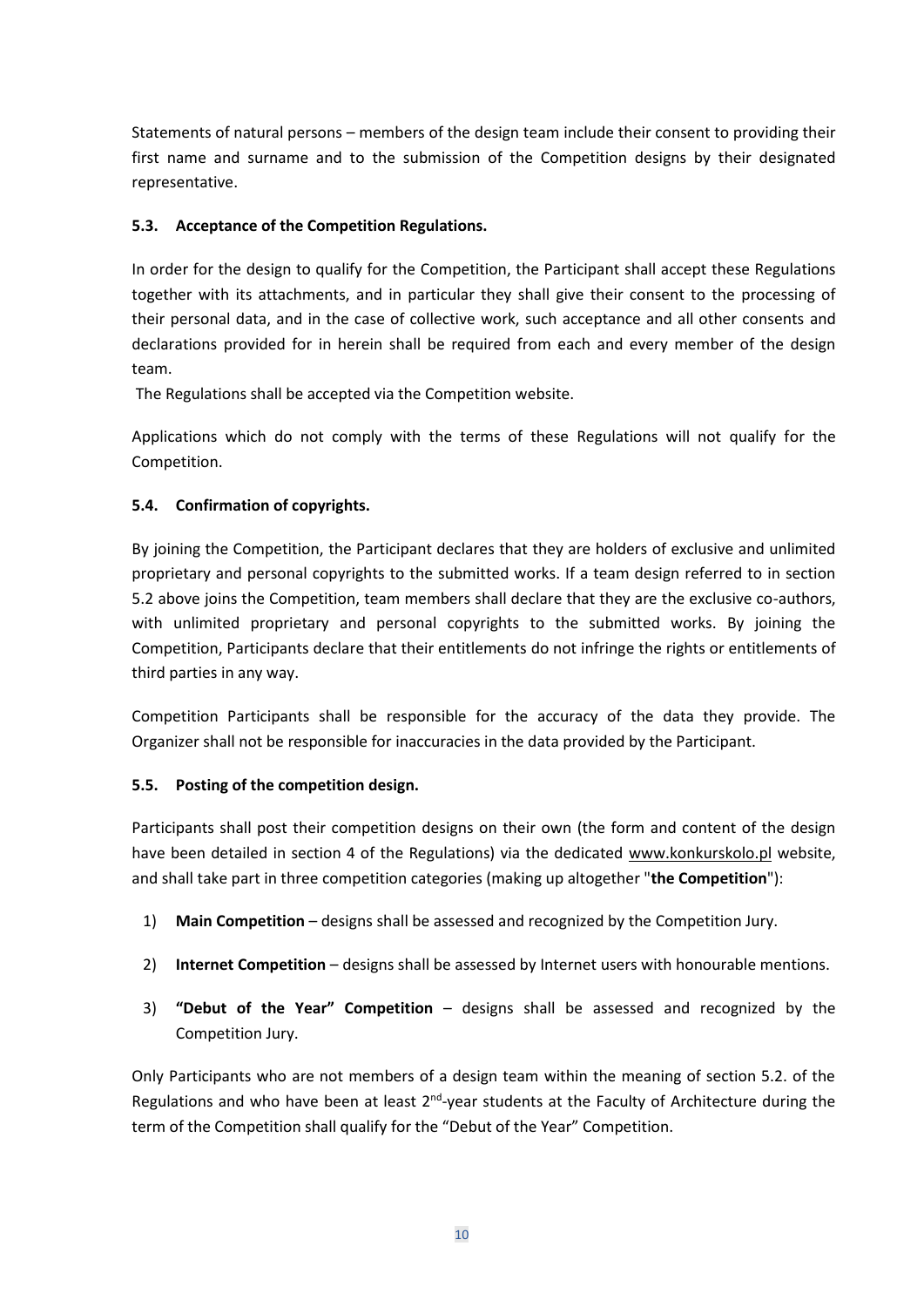Statements of natural persons – members of the design team include their consent to providing their first name and surname and to the submission of the Competition designs by their designated representative.

# **5.3. Acceptance of the Competition Regulations.**

In order for the design to qualify for the Competition, the Participant shall accept these Regulations together with its attachments, and in particular they shall give their consent to the processing of their personal data, and in the case of collective work, such acceptance and all other consents and declarations provided for in herein shall be required from each and every member of the design team.

The Regulations shall be accepted via the Competition website.

Applications which do not comply with the terms of these Regulations will not qualify for the Competition.

## **5.4. Confirmation of copyrights.**

By joining the Competition, the Participant declares that they are holders of exclusive and unlimited proprietary and personal copyrights to the submitted works. If a team design referred to in section 5.2 above joins the Competition, team members shall declare that they are the exclusive co-authors, with unlimited proprietary and personal copyrights to the submitted works. By joining the Competition, Participants declare that their entitlements do not infringe the rights or entitlements of third parties in any way.

Competition Participants shall be responsible for the accuracy of the data they provide. The Organizer shall not be responsible for inaccuracies in the data provided by the Participant.

#### **5.5. Posting of the competition design.**

Participants shall post their competition designs on their own (the form and content of the design have been detailed in section 4 of the Regulations) via the dedicated [www.konkurskolo.pl](http://www.konkurskolo.pl/) website, and shall take part in three competition categories (making up altogether "**the Competition**"):

- 1) **Main Competition** designs shall be assessed and recognized by the Competition Jury.
- 2) **Internet Competition** designs shall be assessed by Internet users with honourable mentions.
- 3) **"Debut of the Year" Competition** designs shall be assessed and recognized by the Competition Jury.

Only Participants who are not members of a design team within the meaning of section 5.2. of the Regulations and who have been at least  $2^{nd}$ -year students at the Faculty of Architecture during the term of the Competition shall qualify for the "Debut of the Year" Competition.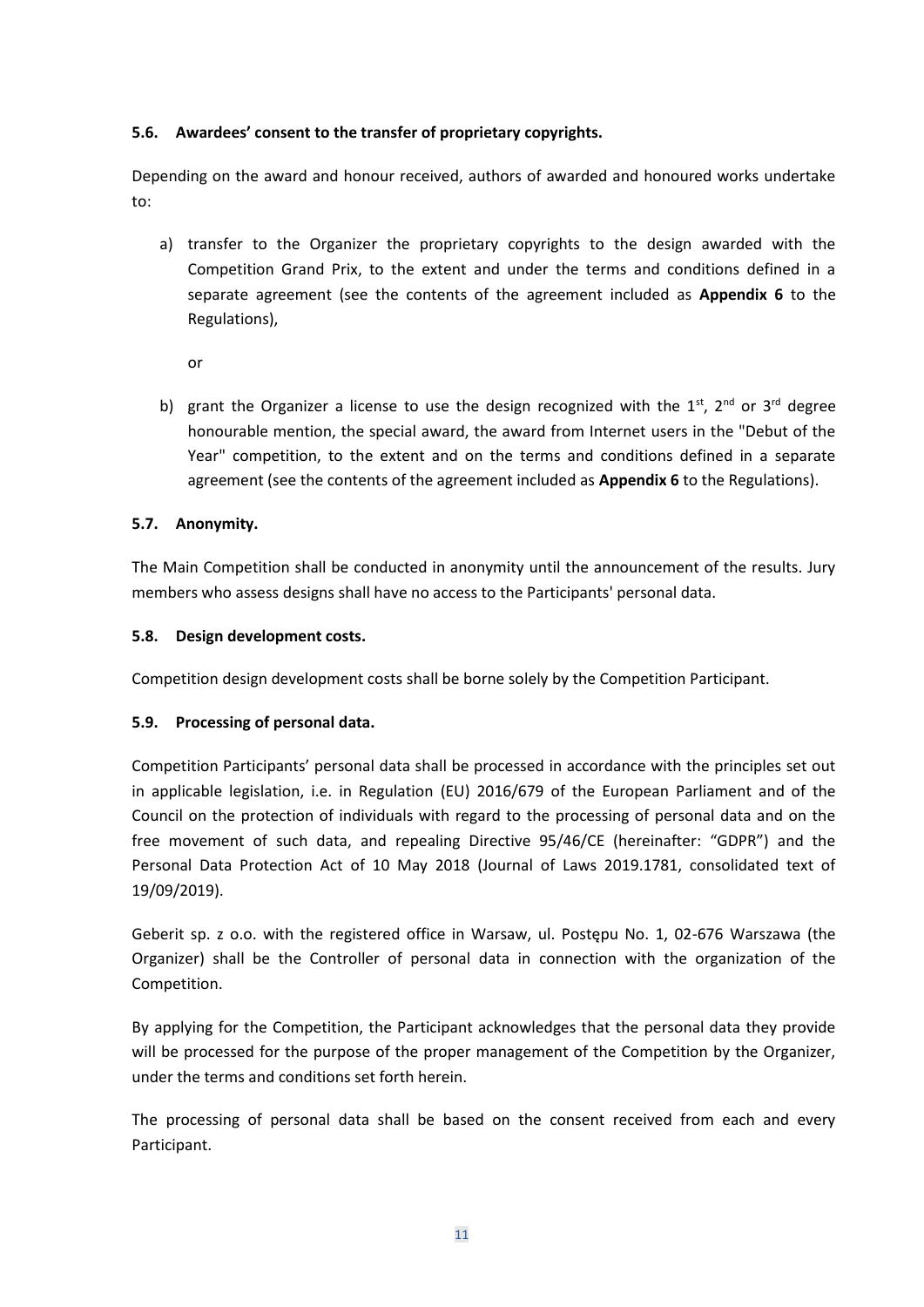# **5.6. Awardees' consent to the transfer of proprietary copyrights.**

Depending on the award and honour received, authors of awarded and honoured works undertake to:

a) transfer to the Organizer the proprietary copyrights to the design awarded with the Competition Grand Prix, to the extent and under the terms and conditions defined in a separate agreement (see the contents of the agreement included as **Appendix 6** to the Regulations),

or

b) grant the Organizer a license to use the design recognized with the  $1<sup>st</sup>$ ,  $2<sup>nd</sup>$  or  $3<sup>rd</sup>$  degree honourable mention, the special award, the award from Internet users in the "Debut of the Year" competition, to the extent and on the terms and conditions defined in a separate agreement (see the contents of the agreement included as **Appendix 6** to the Regulations).

## **5.7. Anonymity.**

The Main Competition shall be conducted in anonymity until the announcement of the results. Jury members who assess designs shall have no access to the Participants' personal data.

## **5.8. Design development costs.**

Competition design development costs shall be borne solely by the Competition Participant.

# **5.9. Processing of personal data.**

Competition Participants' personal data shall be processed in accordance with the principles set out in applicable legislation, i.e. in Regulation (EU) 2016/679 of the European Parliament and of the Council on the protection of individuals with regard to the processing of personal data and on the free movement of such data, and repealing Directive 95/46/CE (hereinafter: "GDPR") and the Personal Data Protection Act of 10 May 2018 (Journal of Laws 2019.1781, consolidated text of 19/09/2019).

Geberit sp. z o.o. with the registered office in Warsaw, ul. Postępu No. 1, 02-676 Warszawa (the Organizer) shall be the Controller of personal data in connection with the organization of the Competition.

By applying for the Competition, the Participant acknowledges that the personal data they provide will be processed for the purpose of the proper management of the Competition by the Organizer, under the terms and conditions set forth herein.

The processing of personal data shall be based on the consent received from each and every Participant.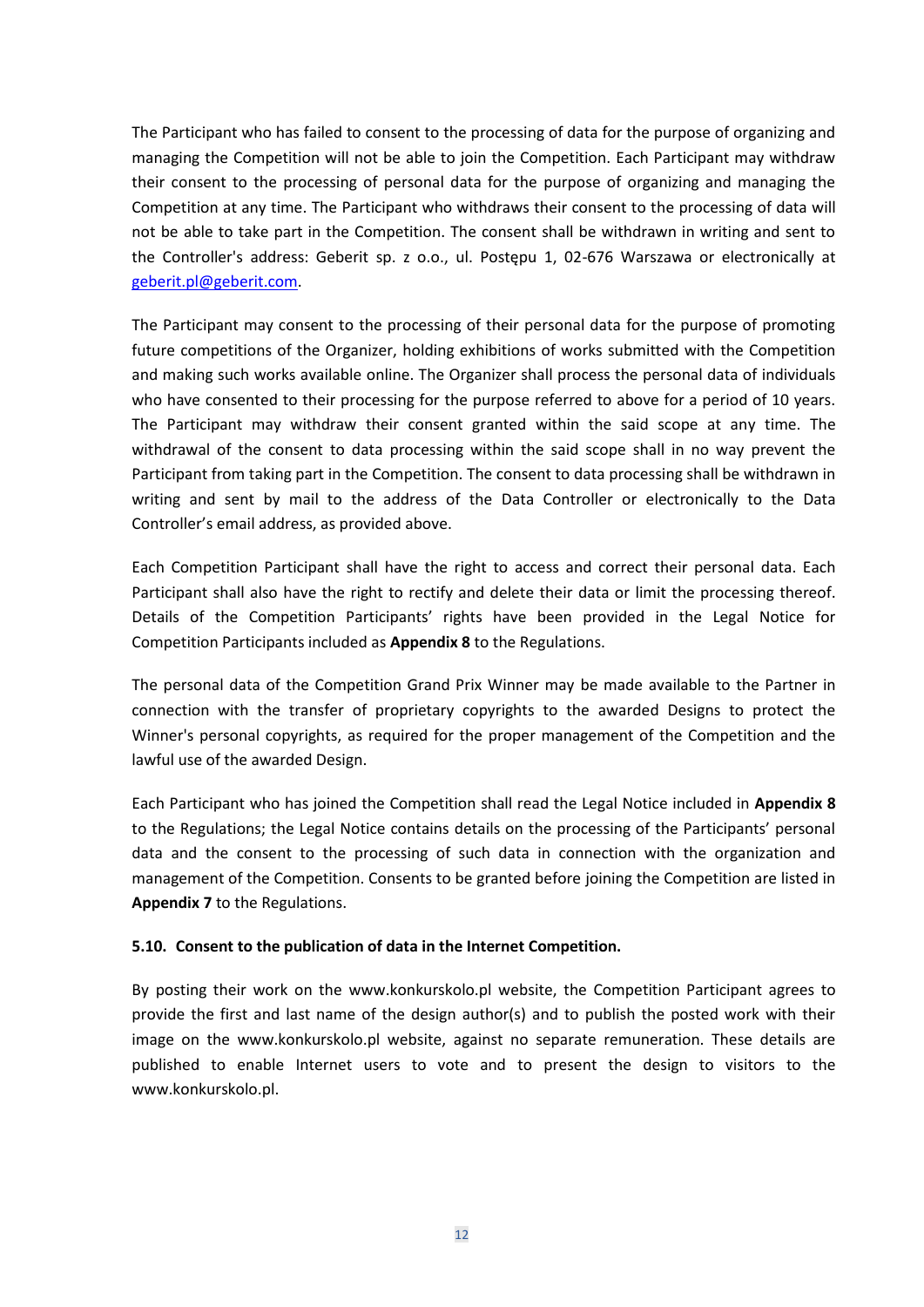The Participant who has failed to consent to the processing of data for the purpose of organizing and managing the Competition will not be able to join the Competition. Each Participant may withdraw their consent to the processing of personal data for the purpose of organizing and managing the Competition at any time. The Participant who withdraws their consent to the processing of data will not be able to take part in the Competition. The consent shall be withdrawn in writing and sent to the Controller's address: Geberit sp. z o.o., ul. Postępu 1, 02-676 Warszawa or electronically at [geberit.pl@geberit.com.](mailto:geberit.pl@geberit.com)

The Participant may consent to the processing of their personal data for the purpose of promoting future competitions of the Organizer, holding exhibitions of works submitted with the Competition and making such works available online. The Organizer shall process the personal data of individuals who have consented to their processing for the purpose referred to above for a period of 10 years. The Participant may withdraw their consent granted within the said scope at any time. The withdrawal of the consent to data processing within the said scope shall in no way prevent the Participant from taking part in the Competition. The consent to data processing shall be withdrawn in writing and sent by mail to the address of the Data Controller or electronically to the Data Controller's email address, as provided above.

Each Competition Participant shall have the right to access and correct their personal data. Each Participant shall also have the right to rectify and delete their data or limit the processing thereof. Details of the Competition Participants' rights have been provided in the Legal Notice for Competition Participants included as **Appendix 8** to the Regulations.

The personal data of the Competition Grand Prix Winner may be made available to the Partner in connection with the transfer of proprietary copyrights to the awarded Designs to protect the Winner's personal copyrights, as required for the proper management of the Competition and the lawful use of the awarded Design.

Each Participant who has joined the Competition shall read the Legal Notice included in **Appendix 8** to the Regulations; the Legal Notice contains details on the processing of the Participants' personal data and the consent to the processing of such data in connection with the organization and management of the Competition. Consents to be granted before joining the Competition are listed in **Appendix 7** to the Regulations.

#### **5.10. Consent to the publication of data in the Internet Competition.**

By posting their work on the [www.konkurskolo.pl](http://www.konkurskolo.pl/) website, the Competition Participant agrees to provide the first and last name of the design author(s) and to publish the posted work with their image on the www.konkurskolo.pl website, against no separate remuneration. These details are published to enable Internet users to vote and to present the design to visitors to the [www.konkurskolo.pl.](http://www.konkurskolo.pl/)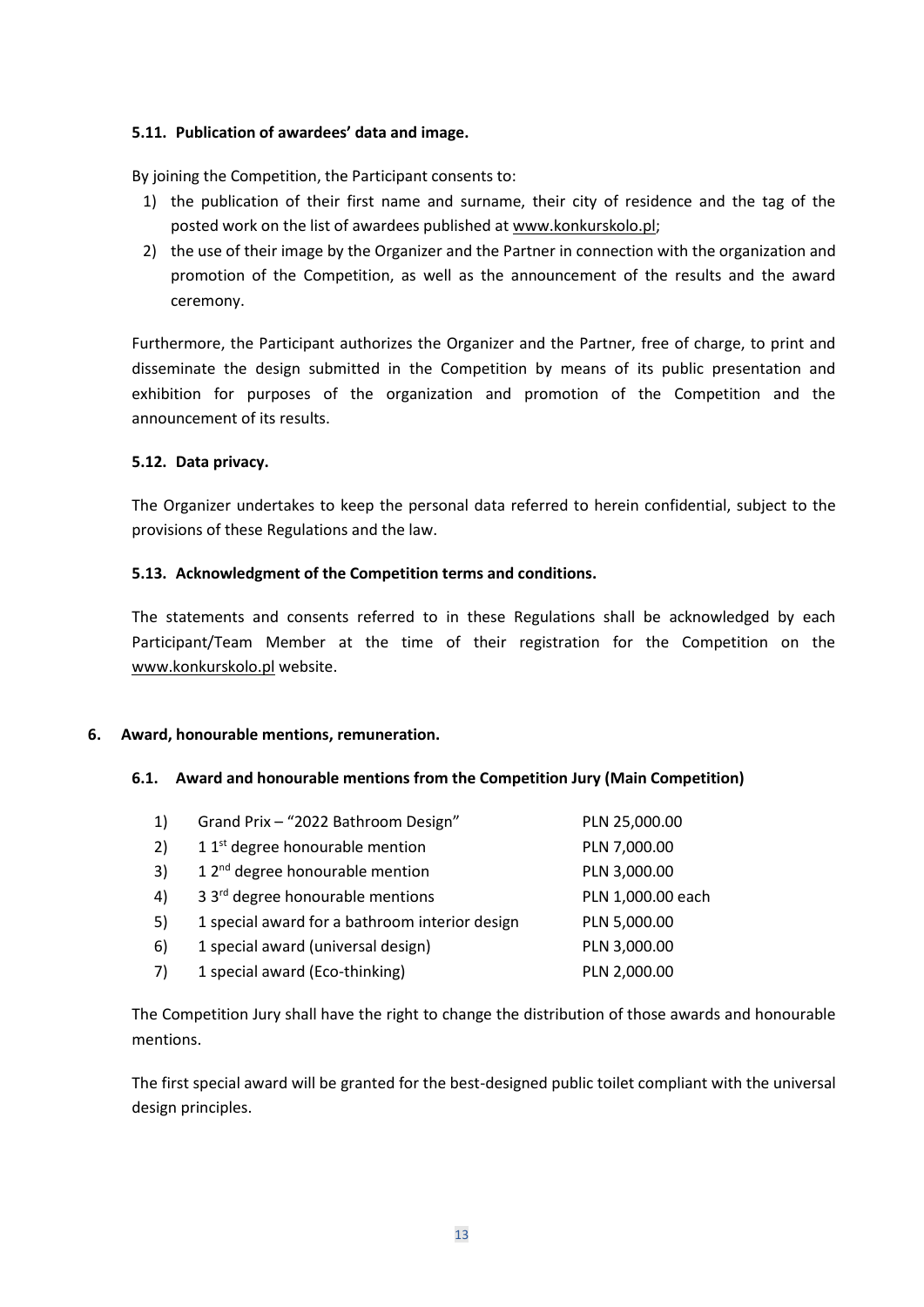## **5.11. Publication of awardees' data and image.**

By joining the Competition, the Participant consents to:

- 1) the publication of their first name and surname, their city of residence and the tag of the posted work on the list of awardees published a[t www.konkurskolo.pl;](http://www.konkurskolo.pl/)
- 2) the use of their image by the Organizer and the Partner in connection with the organization and promotion of the Competition, as well as the announcement of the results and the award ceremony.

Furthermore, the Participant authorizes the Organizer and the Partner, free of charge, to print and disseminate the design submitted in the Competition by means of its public presentation and exhibition for purposes of the organization and promotion of the Competition and the announcement of its results.

#### **5.12. Data privacy.**

The Organizer undertakes to keep the personal data referred to herein confidential, subject to the provisions of these Regulations and the law.

## **5.13. Acknowledgment of the Competition terms and conditions.**

The statements and consents referred to in these Regulations shall be acknowledged by each Participant/Team Member at the time of their registration for the Competition on the www.konkurskolo.pl website.

#### **6. Award, honourable mentions, remuneration.**

#### **6.1. Award and honourable mentions from the Competition Jury (Main Competition)**

| 1) | Grand Prix - "2022 Bathroom Design"            | PLN 25,000.00     |
|----|------------------------------------------------|-------------------|
| 2) | 1 1 <sup>st</sup> degree honourable mention    | PLN 7,000.00      |
| 3) | 1 $2nd$ degree honourable mention              | PLN 3,000.00      |
| 4) | 3 3 <sup>rd</sup> degree honourable mentions   | PLN 1,000.00 each |
| 5) | 1 special award for a bathroom interior design | PLN 5,000.00      |
| 6) | 1 special award (universal design)             | PLN 3,000.00      |
| 7) | 1 special award (Eco-thinking)                 | PLN 2,000.00      |
|    |                                                |                   |

The Competition Jury shall have the right to change the distribution of those awards and honourable mentions.

The first special award will be granted for the best-designed public toilet compliant with the universal design principles.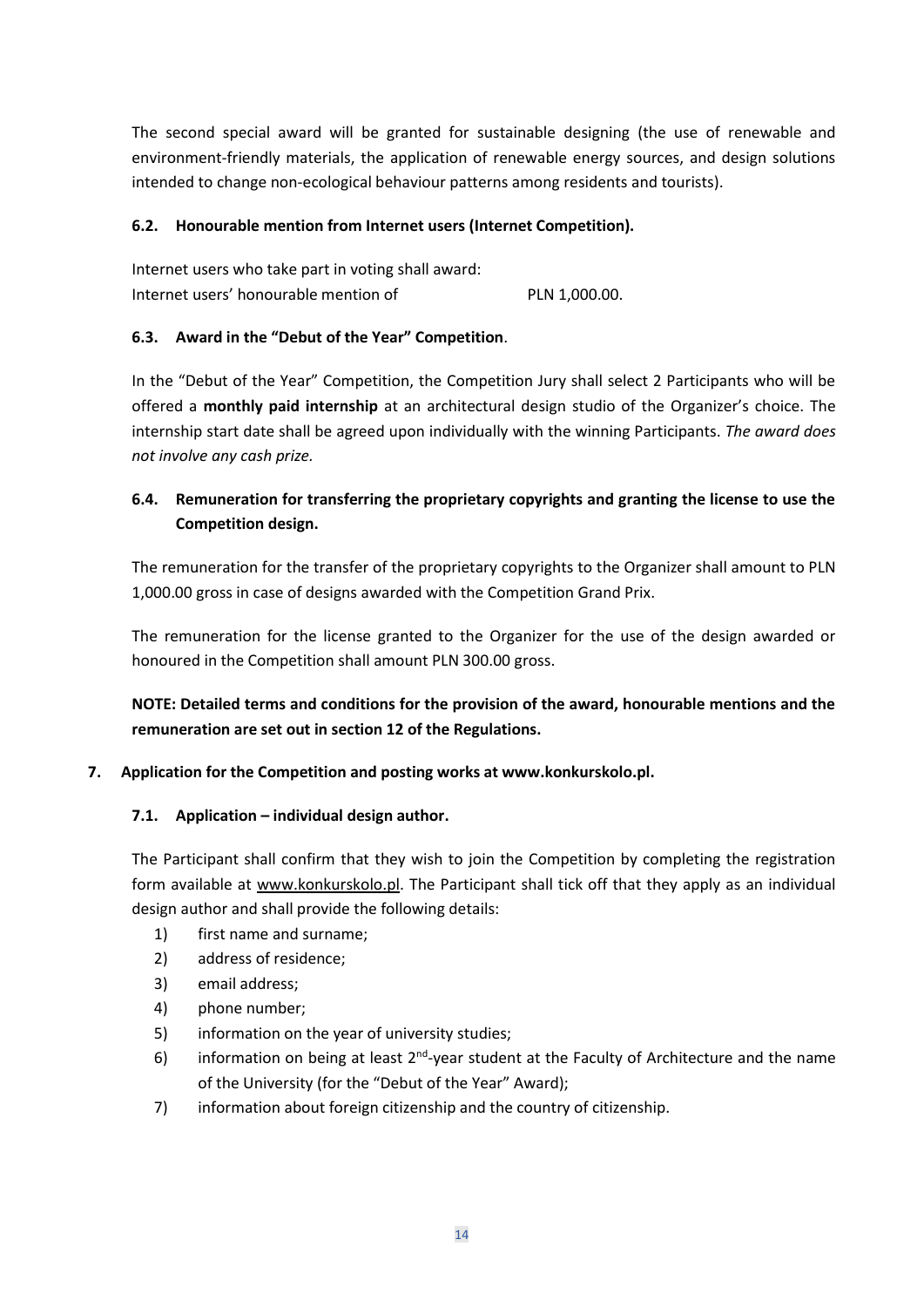The second special award will be granted for sustainable designing (the use of renewable and environment-friendly materials, the application of renewable energy sources, and design solutions intended to change non-ecological behaviour patterns among residents and tourists).

## **6.2. Honourable mention from Internet users (Internet Competition).**

| Internet users who take part in voting shall award: |               |
|-----------------------------------------------------|---------------|
| Internet users' honourable mention of               | PLN 1,000.00. |

## **6.3. Award in the "Debut of the Year" Competition**.

In the "Debut of the Year" Competition, the Competition Jury shall select 2 Participants who will be offered a **monthly paid internship** at an architectural design studio of the Organizer's choice. The internship start date shall be agreed upon individually with the winning Participants. *The award does not involve any cash prize.* 

# **6.4. Remuneration for transferring the proprietary copyrights and granting the license to use the Competition design.**

The remuneration for the transfer of the proprietary copyrights to the Organizer shall amount to PLN 1,000.00 gross in case of designs awarded with the Competition Grand Prix.

The remuneration for the license granted to the Organizer for the use of the design awarded or honoured in the Competition shall amount PLN 300.00 gross.

**NOTE: Detailed terms and conditions for the provision of the award, honourable mentions and the remuneration are set out in section 12 of the Regulations.** 

# **7. Application for the Competition and posting works at www.konkurskolo.pl.**

# **7.1. Application – individual design author.**

The Participant shall confirm that they wish to join the Competition by completing the registration form available at [www.konkurskolo.pl.](http://www.konkurskolo.pl/) The Participant shall tick off that they apply as an individual design author and shall provide the following details:

- 1) first name and surname;
- 2) address of residence;
- 3) email address;
- 4) phone number;
- 5) information on the year of university studies;
- 6) information on being at least  $2^{nd}$ -year student at the Faculty of Architecture and the name of the University (for the "Debut of the Year" Award);
- 7) information about foreign citizenship and the country of citizenship.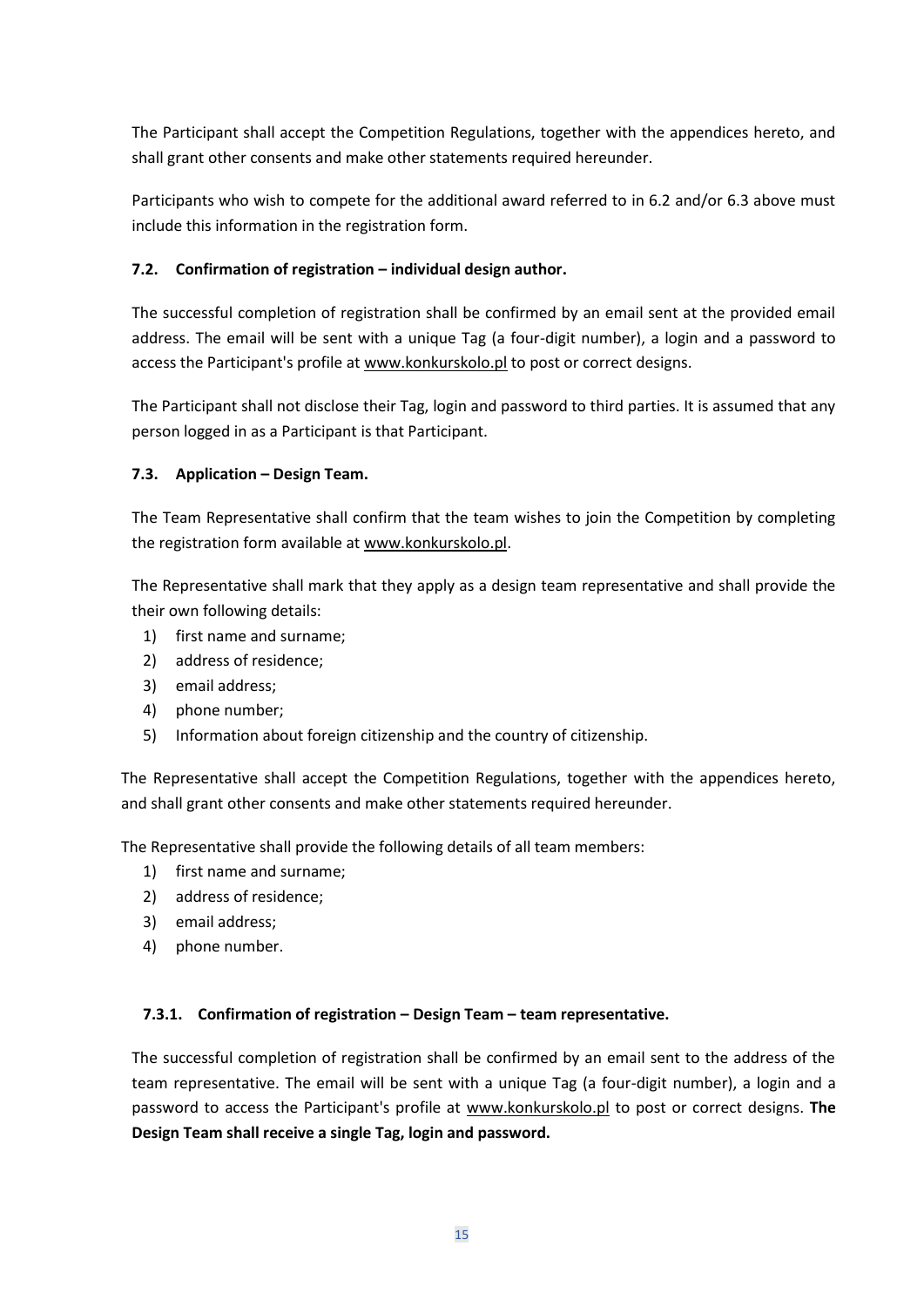The Participant shall accept the Competition Regulations, together with the appendices hereto, and shall grant other consents and make other statements required hereunder.

Participants who wish to compete for the additional award referred to in 6.2 and/or 6.3 above must include this information in the registration form.

# **7.2. Confirmation of registration – individual design author.**

The successful completion of registration shall be confirmed by an email sent at the provided email address. The email will be sent with a unique Tag (a four-digit number), a login and a password to access the Participant's profile a[t www.konkurskolo.pl](http://www.konkurskolo.pl/) to post or correct designs.

The Participant shall not disclose their Tag, login and password to third parties. It is assumed that any person logged in as a Participant is that Participant.

# **7.3. Application – Design Team.**

The Team Representative shall confirm that the team wishes to join the Competition by completing the registration form available a[t www.konkurskolo.pl.](http://www.konkurskolo.pl/)

The Representative shall mark that they apply as a design team representative and shall provide the their own following details:

- 1) first name and surname;
- 2) address of residence;
- 3) email address;
- 4) phone number;
- 5) Information about foreign citizenship and the country of citizenship.

The Representative shall accept the Competition Regulations, together with the appendices hereto, and shall grant other consents and make other statements required hereunder.

The Representative shall provide the following details of all team members:

- 1) first name and surname;
- 2) address of residence;
- 3) email address;
- 4) phone number.

# **7.3.1. Confirmation of registration – Design Team – team representative.**

The successful completion of registration shall be confirmed by an email sent to the address of the team representative. The email will be sent with a unique Tag (a four-digit number), a login and a password to access the Participant's profile at [www.konkurskolo.pl](http://www.konkurskolo.pl/) to post or correct designs. **The Design Team shall receive a single Tag, login and password.**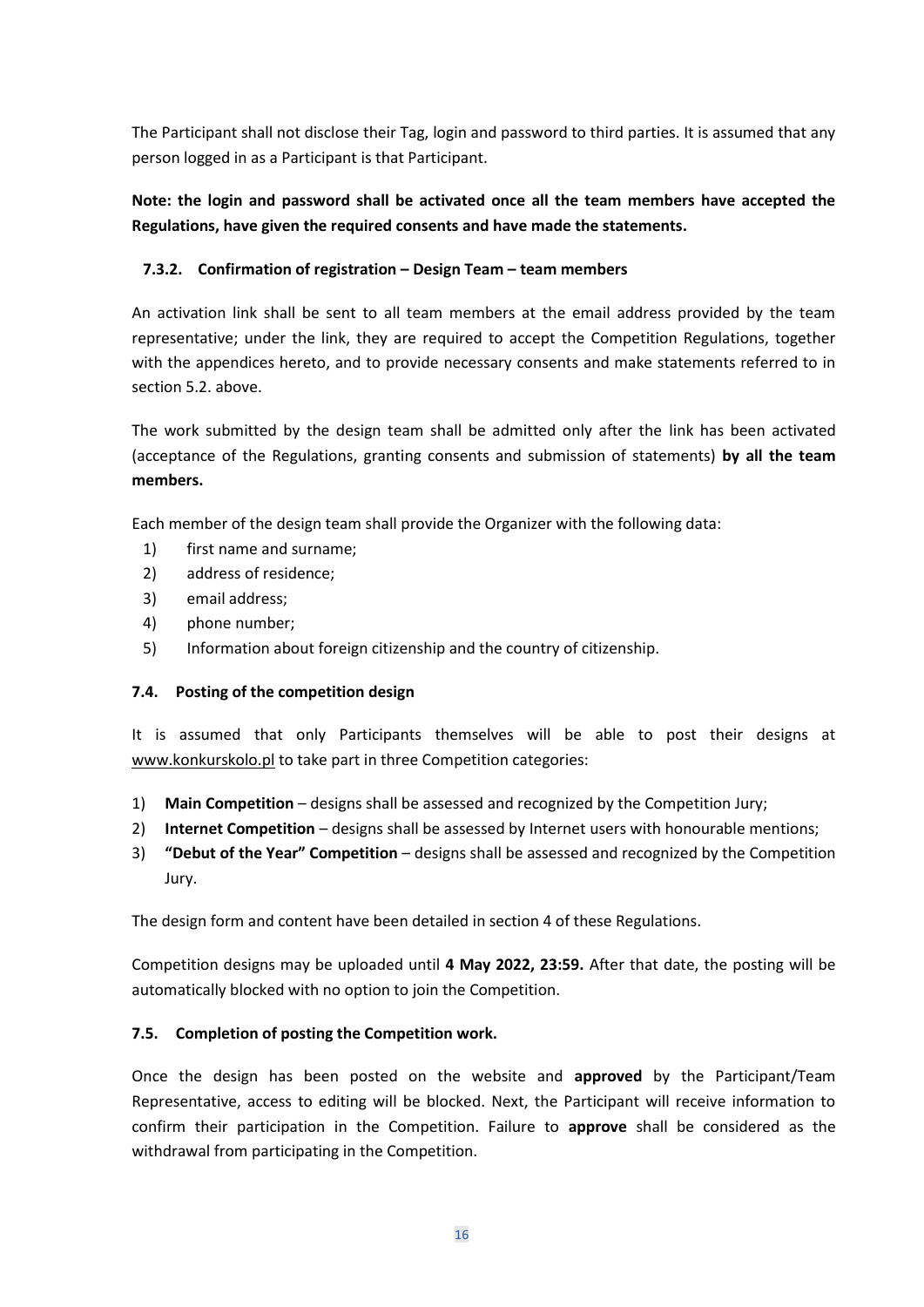The Participant shall not disclose their Tag, login and password to third parties. It is assumed that any person logged in as a Participant is that Participant.

**Note: the login and password shall be activated once all the team members have accepted the Regulations, have given the required consents and have made the statements.**

# **7.3.2. Confirmation of registration – Design Team – team members**

An activation link shall be sent to all team members at the email address provided by the team representative; under the link, they are required to accept the Competition Regulations, together with the appendices hereto, and to provide necessary consents and make statements referred to in section 5.2. above.

The work submitted by the design team shall be admitted only after the link has been activated (acceptance of the Regulations, granting consents and submission of statements) **by all the team members.**

Each member of the design team shall provide the Organizer with the following data:

- 1) first name and surname;
- 2) address of residence;
- 3) email address;
- 4) phone number;
- 5) Information about foreign citizenship and the country of citizenship.

#### **7.4. Posting of the competition design**

It is assumed that only Participants themselves will be able to post their designs at [www.konkurskolo.pl](http://www.konkurskolo.pl/) to take part in three Competition categories:

- 1) **Main Competition** designs shall be assessed and recognized by the Competition Jury;
- 2) **Internet Competition** designs shall be assessed by Internet users with honourable mentions;
- 3) **"Debut of the Year" Competition** designs shall be assessed and recognized by the Competition Jury.

The design form and content have been detailed in section 4 of these Regulations.

Competition designs may be uploaded until **4 May 2022, 23:59.** After that date, the posting will be automatically blocked with no option to join the Competition.

#### **7.5. Completion of posting the Competition work.**

Once the design has been posted on the website and **approved** by the Participant/Team Representative, access to editing will be blocked. Next, the Participant will receive information to confirm their participation in the Competition. Failure to **approve** shall be considered as the withdrawal from participating in the Competition.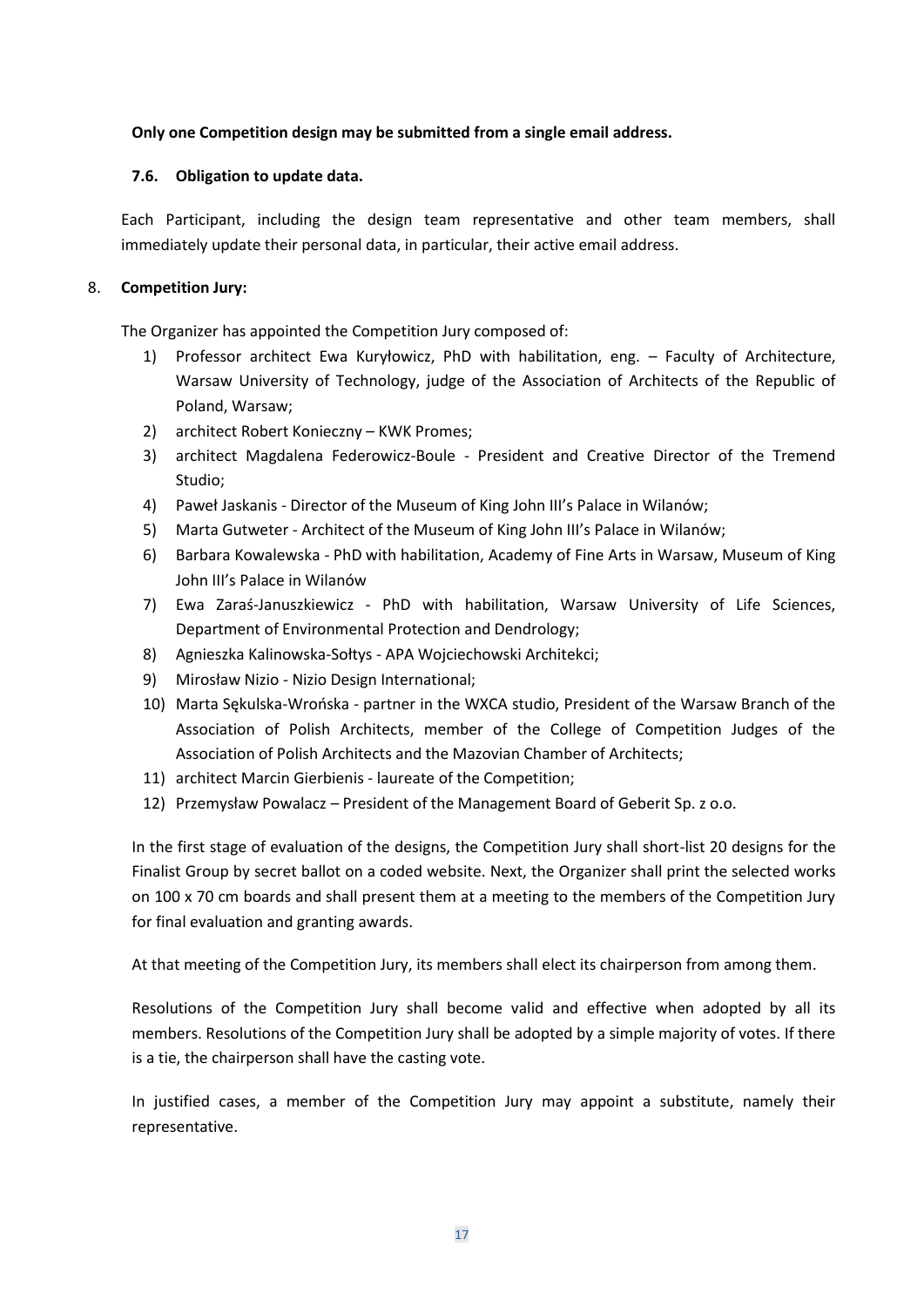## **Only one Competition design may be submitted from a single email address.**

#### **7.6. Obligation to update data.**

Each Participant, including the design team representative and other team members, shall immediately update their personal data, in particular, their active email address.

## 8. **Competition Jury:**

The Organizer has appointed the Competition Jury composed of:

- 1) Professor architect Ewa Kuryłowicz, PhD with habilitation, eng. Faculty of Architecture, Warsaw University of Technology, judge of the Association of Architects of the Republic of Poland, Warsaw;
- 2) architect Robert Konieczny KWK Promes;
- 3) architect Magdalena Federowicz-Boule President and Creative Director of the Tremend Studio;
- 4) Paweł Jaskanis Director of the Museum of King John III's Palace in Wilanów;
- 5) Marta Gutweter Architect of the Museum of King John III's Palace in Wilanów;
- 6) Barbara Kowalewska PhD with habilitation, Academy of Fine Arts in Warsaw, Museum of King John III's Palace in Wilanów
- 7) Ewa Zaraś-Januszkiewicz PhD with habilitation, Warsaw University of Life Sciences, Department of Environmental Protection and Dendrology;
- 8) Agnieszka Kalinowska-Sołtys APA Wojciechowski Architekci;
- 9) Mirosław Nizio Nizio Design International;
- 10) Marta Sękulska-Wrońska partner in the WXCA studio, President of the Warsaw Branch of the Association of Polish Architects, member of the College of Competition Judges of the Association of Polish Architects and the Mazovian Chamber of Architects;
- 11) architect Marcin Gierbienis laureate of the Competition;
- 12) Przemysław Powalacz President of the Management Board of Geberit Sp. z o.o.

In the first stage of evaluation of the designs, the Competition Jury shall short-list 20 designs for the Finalist Group by secret ballot on a coded website. Next, the Organizer shall print the selected works on 100 x 70 cm boards and shall present them at a meeting to the members of the Competition Jury for final evaluation and granting awards.

At that meeting of the Competition Jury, its members shall elect its chairperson from among them.

Resolutions of the Competition Jury shall become valid and effective when adopted by all its members. Resolutions of the Competition Jury shall be adopted by a simple majority of votes. If there is a tie, the chairperson shall have the casting vote.

In justified cases, a member of the Competition Jury may appoint a substitute, namely their representative.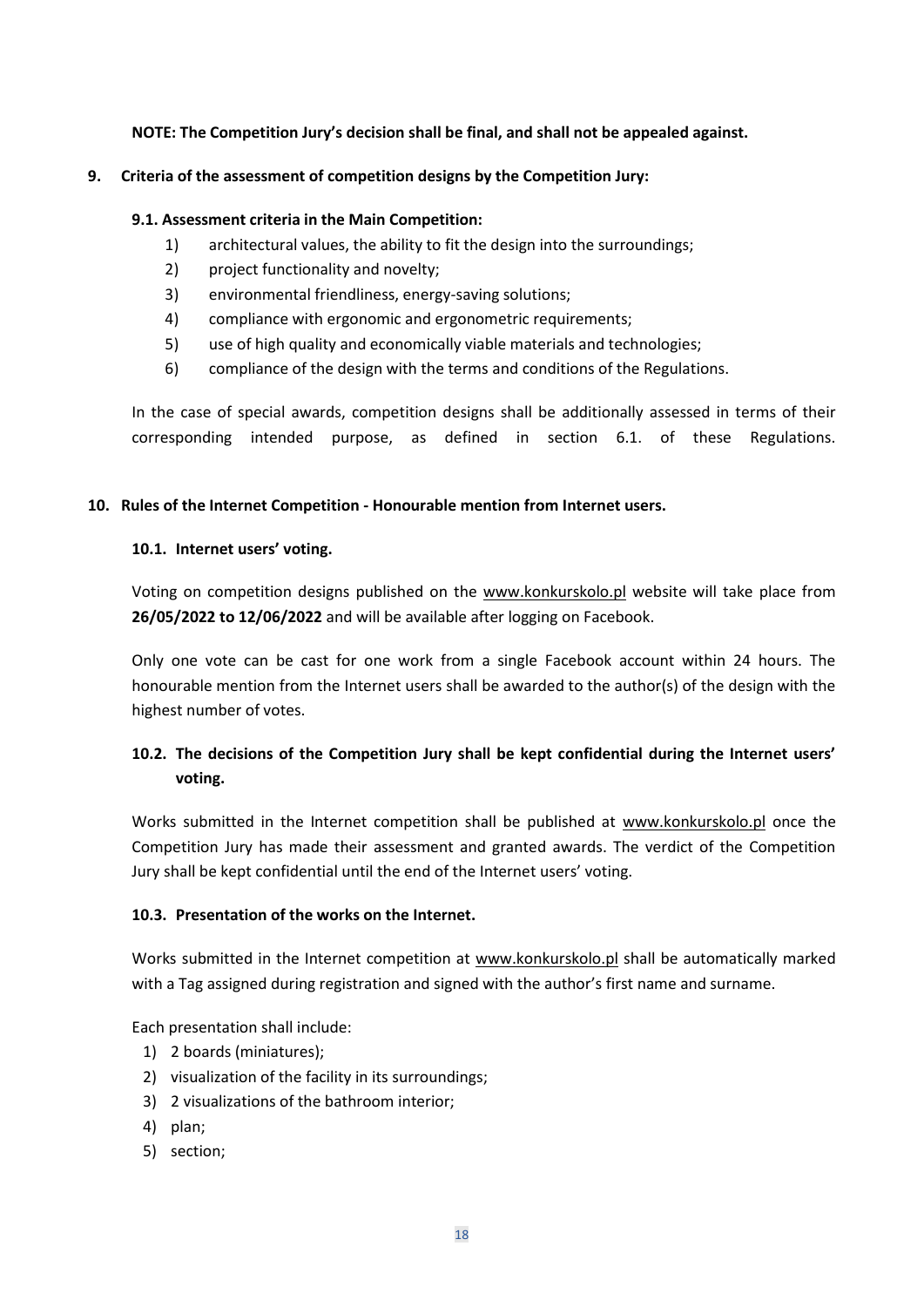# **NOTE: The Competition Jury's decision shall be final, and shall not be appealed against.**

#### **9. Criteria of the assessment of competition designs by the Competition Jury:**

#### **9.1. Assessment criteria in the Main Competition:**

- 1) architectural values, the ability to fit the design into the surroundings;
- 2) project functionality and novelty:
- 3) environmental friendliness, energy-saving solutions;
- 4) compliance with ergonomic and ergonometric requirements;
- 5) use of high quality and economically viable materials and technologies;
- 6) compliance of the design with the terms and conditions of the Regulations.

In the case of special awards, competition designs shall be additionally assessed in terms of their corresponding intended purpose, as defined in section 6.1. of these Regulations.

#### **10. Rules of the Internet Competition - Honourable mention from Internet users.**

#### **10.1. Internet users' voting.**

Voting on competition designs published on the [www.konkurskolo.pl](http://www.konkurskolo.pl/) website will take place from **26/05/2022 to 12/06/2022** and will be available after logging on Facebook.

Only one vote can be cast for one work from a single Facebook account within 24 hours. The honourable mention from the Internet users shall be awarded to the author(s) of the design with the highest number of votes.

# **10.2. The decisions of the Competition Jury shall be kept confidential during the Internet users' voting.**

Works submitted in the Internet competition shall be published at [www.konkurskolo.pl](http://www.konkurskolo.pl/) once the Competition Jury has made their assessment and granted awards. The verdict of the Competition Jury shall be kept confidential until the end of the Internet users' voting.

## **10.3. Presentation of the works on the Internet.**

Works submitted in the Internet competition at [www.konkurskolo.pl](http://www.konkurskolo.pl/) shall be automatically marked with a Tag assigned during registration and signed with the author's first name and surname.

Each presentation shall include:

- 1) 2 boards (miniatures);
- 2) visualization of the facility in its surroundings;
- 3) 2 visualizations of the bathroom interior;
- 4) plan;
- 5) section;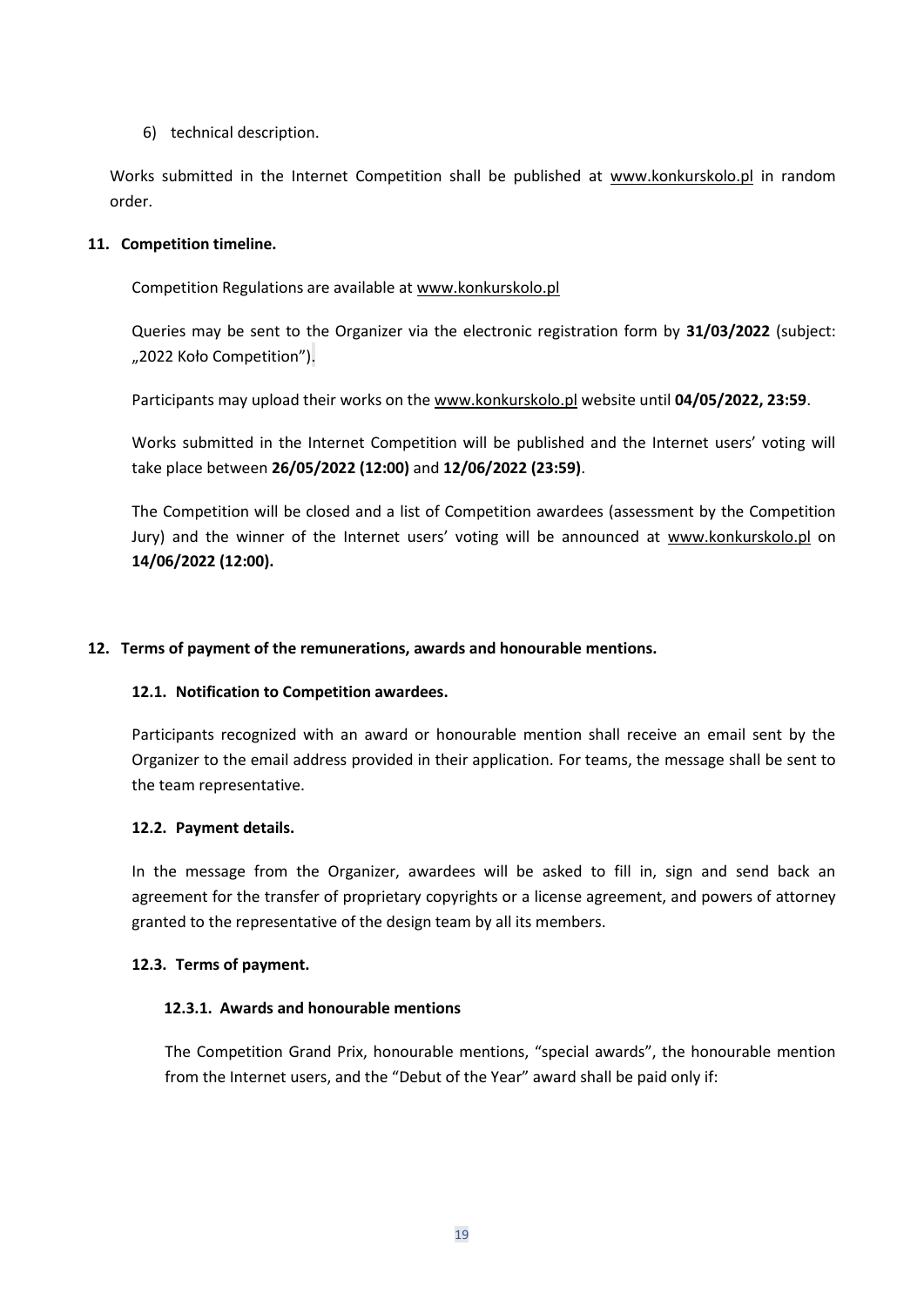6) technical description.

Works submitted in the Internet Competition shall be published at [www.konkurskolo.pl](http://www.konkurskolo.pl/) in random order.

#### **11. Competition timeline.**

Competition Regulations are available a[t www.konkurskolo.pl](http://www.konkurskolo.pl/)

Queries may be sent to the Organizer via the electronic registration form by **31/03/2022** (subject: "2022 Koło Competition").

Participants may upload their works on the [www.konkurskolo.pl](http://www.konkurskolo.pl/) website until **04/05/2022, 23:59**.

Works submitted in the Internet Competition will be published and the Internet users' voting will take place between **26/05/2022 (12:00)** and **12/06/2022 (23:59)**.

The Competition will be closed and a list of Competition awardees (assessment by the Competition Jury) and the winner of the Internet users' voting will be announced at [www.konkurskolo.pl](http://www.konkurskolo.pl/) on **14/06/2022 (12:00).**

#### **12. Terms of payment of the remunerations, awards and honourable mentions.**

#### **12.1. Notification to Competition awardees.**

Participants recognized with an award or honourable mention shall receive an email sent by the Organizer to the email address provided in their application. For teams, the message shall be sent to the team representative.

#### **12.2. Payment details.**

In the message from the Organizer, awardees will be asked to fill in, sign and send back an agreement for the transfer of proprietary copyrights or a license agreement, and powers of attorney granted to the representative of the design team by all its members.

#### **12.3. Terms of payment.**

#### **12.3.1. Awards and honourable mentions**

The Competition Grand Prix, honourable mentions, "special awards", the honourable mention from the Internet users, and the "Debut of the Year" award shall be paid only if: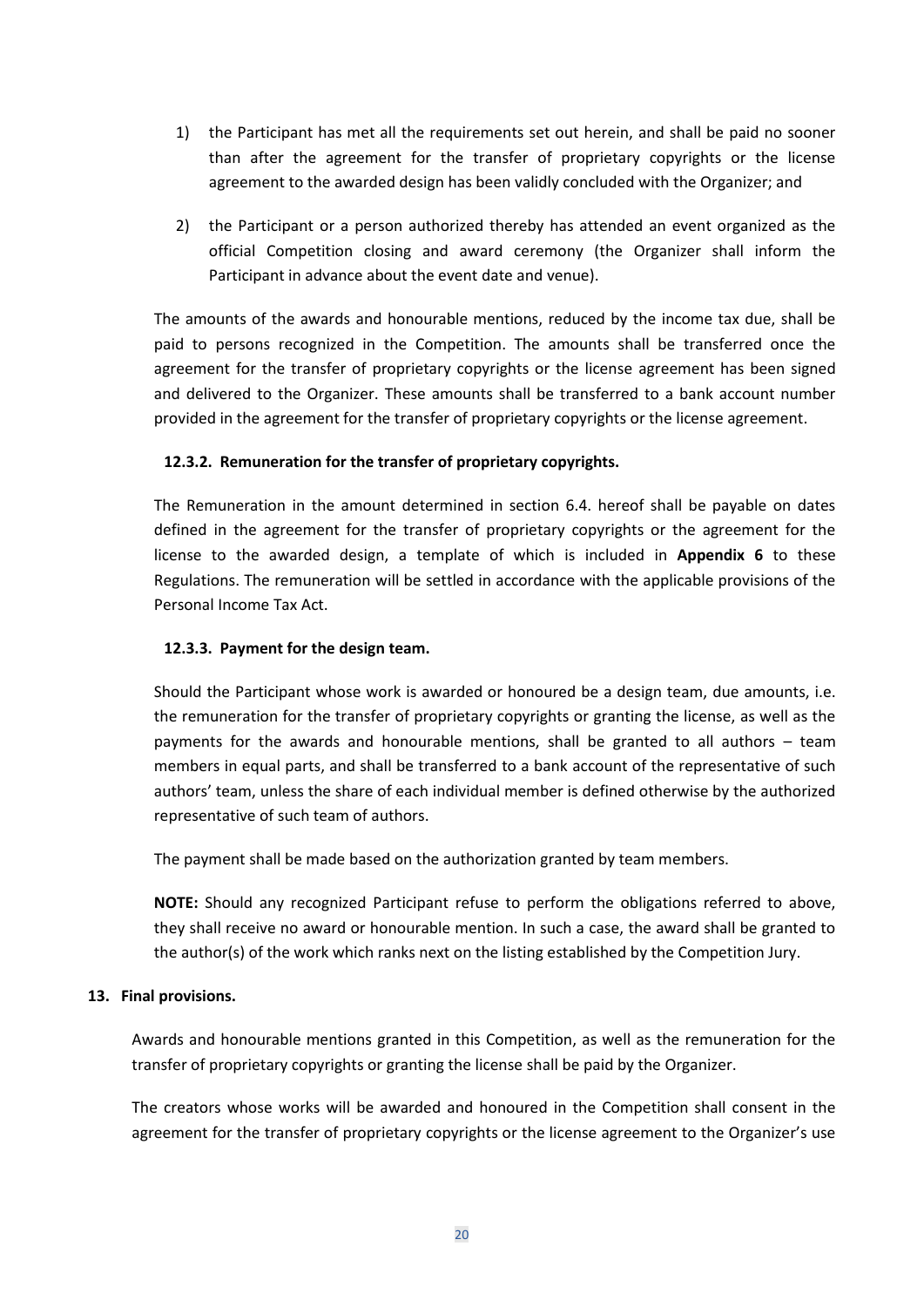- 1) the Participant has met all the requirements set out herein, and shall be paid no sooner than after the agreement for the transfer of proprietary copyrights or the license agreement to the awarded design has been validly concluded with the Organizer; and
- 2) the Participant or a person authorized thereby has attended an event organized as the official Competition closing and award ceremony (the Organizer shall inform the Participant in advance about the event date and venue).

The amounts of the awards and honourable mentions, reduced by the income tax due, shall be paid to persons recognized in the Competition. The amounts shall be transferred once the agreement for the transfer of proprietary copyrights or the license agreement has been signed and delivered to the Organizer. These amounts shall be transferred to a bank account number provided in the agreement for the transfer of proprietary copyrights or the license agreement.

## **12.3.2. Remuneration for the transfer of proprietary copyrights.**

The Remuneration in the amount determined in section 6.4. hereof shall be payable on dates defined in the agreement for the transfer of proprietary copyrights or the agreement for the license to the awarded design, a template of which is included in **Appendix 6** to these Regulations. The remuneration will be settled in accordance with the applicable provisions of the Personal Income Tax Act.

#### **12.3.3. Payment for the design team.**

Should the Participant whose work is awarded or honoured be a design team, due amounts, i.e. the remuneration for the transfer of proprietary copyrights or granting the license, as well as the payments for the awards and honourable mentions, shall be granted to all authors – team members in equal parts, and shall be transferred to a bank account of the representative of such authors' team, unless the share of each individual member is defined otherwise by the authorized representative of such team of authors.

The payment shall be made based on the authorization granted by team members.

**NOTE:** Should any recognized Participant refuse to perform the obligations referred to above, they shall receive no award or honourable mention. In such a case, the award shall be granted to the author(s) of the work which ranks next on the listing established by the Competition Jury.

#### **13. Final provisions.**

Awards and honourable mentions granted in this Competition, as well as the remuneration for the transfer of proprietary copyrights or granting the license shall be paid by the Organizer.

The creators whose works will be awarded and honoured in the Competition shall consent in the agreement for the transfer of proprietary copyrights or the license agreement to the Organizer's use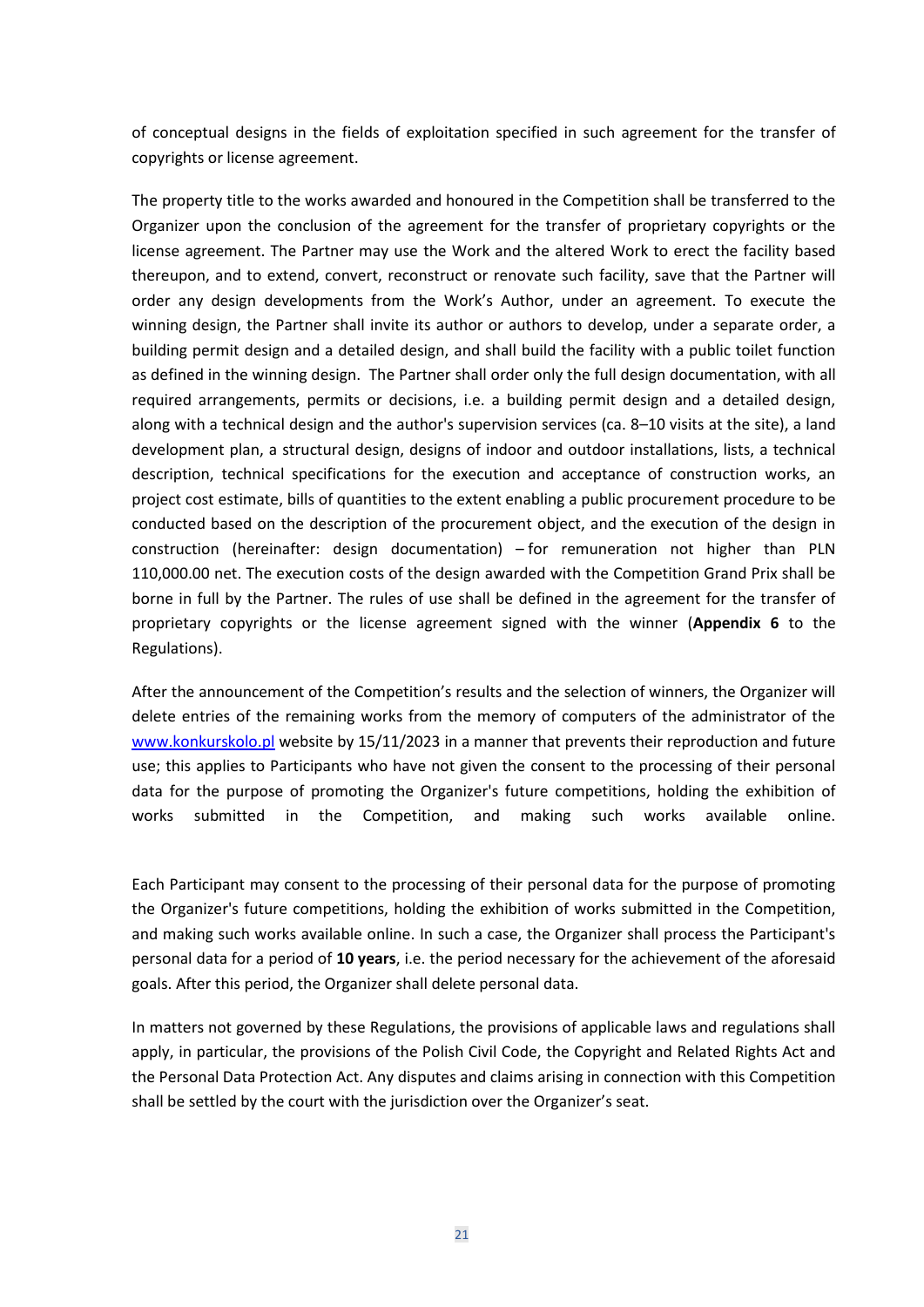of conceptual designs in the fields of exploitation specified in such agreement for the transfer of copyrights or license agreement.

The property title to the works awarded and honoured in the Competition shall be transferred to the Organizer upon the conclusion of the agreement for the transfer of proprietary copyrights or the license agreement. The Partner may use the Work and the altered Work to erect the facility based thereupon, and to extend, convert, reconstruct or renovate such facility, save that the Partner will order any design developments from the Work's Author, under an agreement. To execute the winning design, the Partner shall invite its author or authors to develop, under a separate order, a building permit design and a detailed design, and shall build the facility with a public toilet function as defined in the winning design. The Partner shall order only the full design documentation, with all required arrangements, permits or decisions, i.e. a building permit design and a detailed design, along with a technical design and the author's supervision services (ca. 8–10 visits at the site), a land development plan, a structural design, designs of indoor and outdoor installations, lists, a technical description, technical specifications for the execution and acceptance of construction works, an project cost estimate, bills of quantities to the extent enabling a public procurement procedure to be conducted based on the description of the procurement object, and the execution of the design in construction (hereinafter: design documentation) – for remuneration not higher than PLN 110,000.00 net. The execution costs of the design awarded with the Competition Grand Prix shall be borne in full by the Partner. The rules of use shall be defined in the agreement for the transfer of proprietary copyrights or the license agreement signed with the winner (**Appendix 6** to the Regulations).

After the announcement of the Competition's results and the selection of winners, the Organizer will delete entries of the remaining works from the memory of computers of the administrator of the [www.konkurskolo.pl](http://www.konkurskolo.pl/) website by 15/11/2023 in a manner that prevents their reproduction and future use; this applies to Participants who have not given the consent to the processing of their personal data for the purpose of promoting the Organizer's future competitions, holding the exhibition of works submitted in the Competition, and making such works available online.

Each Participant may consent to the processing of their personal data for the purpose of promoting the Organizer's future competitions, holding the exhibition of works submitted in the Competition, and making such works available online. In such a case, the Organizer shall process the Participant's personal data for a period of **10 years**, i.e. the period necessary for the achievement of the aforesaid goals. After this period, the Organizer shall delete personal data.

In matters not governed by these Regulations, the provisions of applicable laws and regulations shall apply, in particular, the provisions of the Polish Civil Code, the Copyright and Related Rights Act and the Personal Data Protection Act. Any disputes and claims arising in connection with this Competition shall be settled by the court with the jurisdiction over the Organizer's seat.